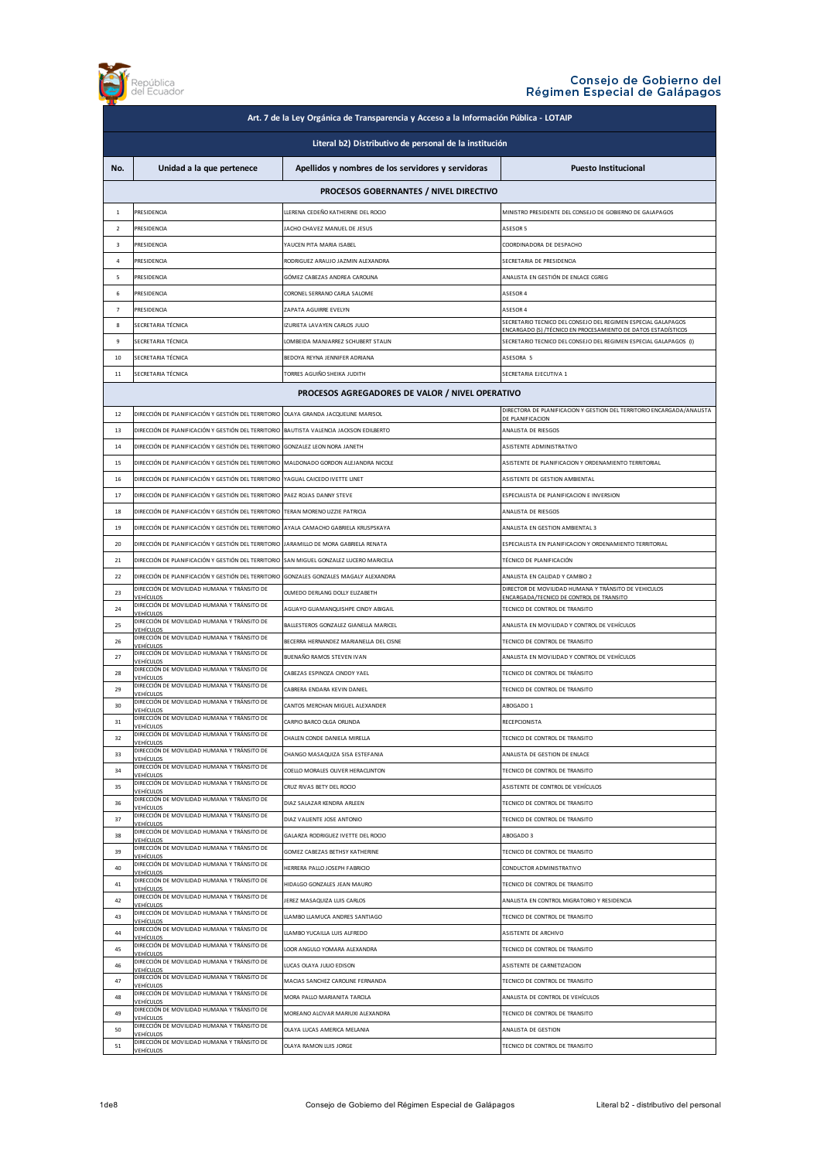

| Art. 7 de la Ley Orgánica de Transparencia y Acceso a la Información Pública - LOTAIP |                                                                                         |                                                    |                                                                                                                                           |  |
|---------------------------------------------------------------------------------------|-----------------------------------------------------------------------------------------|----------------------------------------------------|-------------------------------------------------------------------------------------------------------------------------------------------|--|
| Literal b2) Distributivo de personal de la institución                                |                                                                                         |                                                    |                                                                                                                                           |  |
| No.                                                                                   | Unidad a la que pertenece                                                               | Apellidos y nombres de los servidores y servidoras | <b>Puesto Institucional</b>                                                                                                               |  |
|                                                                                       |                                                                                         | PROCESOS GOBERNANTES / NIVEL DIRECTIVO             |                                                                                                                                           |  |
| 1                                                                                     | PRESIDENCIA                                                                             | LLERENA CEDEÑO KATHERINE DEL ROCIO                 | MINISTRO PRESIDENTE DEL CONSEJO DE GOBIERNO DE GALAPAGOS                                                                                  |  |
| $\overline{2}$                                                                        | PRESIDENCIA                                                                             | JACHO CHAVEZ MANUEL DE JESUS                       | ASESOR 5                                                                                                                                  |  |
| $\overline{\mathbf{3}}$                                                               | PRESIDENCIA                                                                             | YAUCEN PITA MARIA ISABEL                           | COORDINADORA DE DESPACHO                                                                                                                  |  |
| 4                                                                                     | PRESIDENCIA                                                                             | RODRIGUEZ ARAUJO JAZMIN ALEXANDRA                  | SECRETARIA DE PRESIDENCIA                                                                                                                 |  |
| 5                                                                                     | PRESIDENCIA                                                                             | GÓMEZ CABEZAS ANDREA CAROLINA                      | ANALISTA EN GESTIÓN DE ENLACE CGREG                                                                                                       |  |
| 6                                                                                     | PRESIDENCIA                                                                             | CORONEL SERRANO CARLA SALOME                       | ASESOR 4                                                                                                                                  |  |
| $\overline{7}$                                                                        | PRESIDENCIA                                                                             | ZAPATA AGUIRRE EVELYN                              | ASESOR 4                                                                                                                                  |  |
| 8                                                                                     | SECRETARIA TÉCNICA                                                                      | IZURIETA LAVAYEN CARLOS JULIO                      | SECRETARIO TECNICO DEL CONSEJO DEL REGIMEN ESPECIAL GALAPAGOS                                                                             |  |
| 9                                                                                     | SECRETARIA TÉCNICA                                                                      | LOMBEIDA MANJARREZ SCHUBERT STALIN                 | <u>:NCARGADO (S) /TÉCNICO EN PROCESAMIENTO DE DATOS ESTADÍSTICOS</u><br>SECRETARIO TECNICO DEL CONSEJO DEL REGIMEN ESPECIAL GALAPAGOS (I) |  |
| 10                                                                                    | SECRETARIA TÉCNICA                                                                      | BEDOYA REYNA JENNIFER ADRIANA                      | ASESORA 5                                                                                                                                 |  |
| $11\,$                                                                                | SECRETARIA TÉCNICA                                                                      | TORRES AGUIÑO SHEIKA JUDITH                        | SECRETARIA EJECUTIVA 1                                                                                                                    |  |
|                                                                                       |                                                                                         |                                                    |                                                                                                                                           |  |
|                                                                                       |                                                                                         | PROCESOS AGREGADORES DE VALOR / NIVEL OPERATIVO    |                                                                                                                                           |  |
| 12                                                                                    | DIRECCIÓN DE PLANIFICACIÓN Y GESTIÓN DEL TERRITORIO OLAYA GRANDA JACQUELINE MARISOL     |                                                    | DIRECTORA DE PLANIFICACION Y GESTION DEL TERRITORIO ENCARGADA/ANALISTA<br>DE PLANIFICACION                                                |  |
| 13                                                                                    | DIRECCIÓN DE PLANIFICACIÓN Y GESTIÓN DEL TERRITORIO                                     | BAUTISTA VALENCIA JACKSON EDILBERTO                | ANALISTA DE RIESGOS                                                                                                                       |  |
| 14                                                                                    | DIRECCIÓN DE PLANIFICACIÓN Y GESTIÓN DEL TERRITORIO                                     | GONZALEZ LEON NORA JANETH                          | ASISTENTE ADMINISTRATIVO                                                                                                                  |  |
| 15                                                                                    | DIRECCIÓN DE PLANIFICACIÓN Y GESTIÓN DEL TERRITORIO                                     | MALDONADO GORDON ALEJANDRA NICOLE                  | ASISTENTE DE PLANIFICACION Y ORDENAMIENTO TERRITORIAL                                                                                     |  |
| 16                                                                                    | DIRECCIÓN DE PLANIFICACIÓN Y GESTIÓN DEL TERRITORIO                                     | YAGUAL CAICEDO IVETTE LINET                        | ASISTENTE DE GESTION AMBIENTAL                                                                                                            |  |
| 17                                                                                    | DIRECCIÓN DE PLANIFICACIÓN Y GESTIÓN DEL TERRITORIO                                     | PAEZ ROJAS DANNY STEVE                             | ESPECIALISTA DE PLANIFICACION E INVERSION                                                                                                 |  |
| 18                                                                                    | DIRECCIÓN DE PLANIFICACIÓN Y GESTIÓN DEL TERRITORIO TERAN MORENO LIZZIE PATRICIA        |                                                    | ANALISTA DE RIESGOS                                                                                                                       |  |
| 19                                                                                    | DIRECCIÓN DE PLANIFICACIÓN Y GESTIÓN DEL TERRITORIO LAYALA CAMACHO GABRIELA KRUSPSKAYA  |                                                    | ANALISTA EN GESTION AMBIENTAL 3                                                                                                           |  |
| 20                                                                                    | DIRECCIÓN DE PLANIFICACIÓN Y GESTIÓN DEL TERRITORIO JARAMILLO DE MORA GABRIELA RENATA   |                                                    | ESPECIALISTA EN PLANIFICACION Y ORDENAMIENTO TERRITORIAL                                                                                  |  |
| 21                                                                                    | DIRECCIÓN DE PLANIFICACIÓN Y GESTIÓN DEL TERRITORIO SAN MIGUEL GONZALEZ LUCERO MARICELA |                                                    | TÉCNICO DE PLANIFICACIÓN                                                                                                                  |  |
| 22                                                                                    | DIRECCIÓN DE PLANIFICACIÓN Y GESTIÓN DEL TERRITORIO                                     | GONZALES GONZALES MAGALY ALEXANDRA                 | ANALISTA EN CALIDAD Y CAMBIO 2                                                                                                            |  |
| 23                                                                                    | DIRECCIÓN DE MOVILIDAD HUMANA Y TRÁNSITO DE<br>VEHÍCULOS                                | OLMEDO DERLANG DOLLY ELIZABETH                     | DIRECTOR DE MOVILIDAD HUMANA Y TRÁNSITO DE VEHICULOS<br>ENCARGADA/TECNICO DE CONTROL DE TRANSITO                                          |  |
| 24                                                                                    | DIRECCIÓN DE MOVILIDAD HUMANA Y TRÁNSITO DE<br><u>VEHÍCULOS</u>                         | AGUAYO GUAMANQUISHPE CINDY ABIGAIL                 | TECNICO DE CONTROL DE TRANSITO                                                                                                            |  |
| 25                                                                                    | DIRECCIÓN DE MOVILIDAD HUMANA Y TRÁNSITO DE<br>VEHÍCULOS                                | BALLESTEROS GONZALEZ GIANELLA MARICEL              | ANALISTA EN MOVILIDAD Y CONTROL DE VEHÍCULOS                                                                                              |  |
| 26                                                                                    | DIRECCIÓN DE MOVILIDAD HUMANA Y TRÁNSITO DE<br>/EHÍCULOS                                | BECERRA HERNANDEZ MARIANELLA DEL CISNE             | TECNICO DE CONTROL DE TRANSITO                                                                                                            |  |
| 27                                                                                    | DIRECCIÓN DE MOVILIDAD HUMANA Y TRÁNSITO DE<br>/EHÍCULOS                                | BUENAÑO RAMOS STEVEN IVAN                          | ANALISTA EN MOVILIDAD Y CONTROL DE VEHÍCULOS                                                                                              |  |
| 28                                                                                    | DIRECCIÓN DE MOVILIDAD HUMANA Y TRÁNSITO DE<br><b>EHÍCULOS</b>                          | CABEZAS ESPINOZA CINDDY YAEL                       | TECNICO DE CONTROL DE TRÁNSITO                                                                                                            |  |
| 29                                                                                    | DIRECCIÓN DE MOVILIDAD HUMANA Y TRÁNSITO DE<br>/EHÍCULOS                                | CABRERA ENDARA KEVIN DANIEL                        | TECNICO DE CONTROL DE TRANSITO                                                                                                            |  |
| 30                                                                                    | DIRECCIÓN DE MOVILIDAD HUMANA Y TRÁNSITO DE<br>VEHÍCULOS                                | CANTOS MERCHAN MIGUEL ALEXANDER                    | ABOGADO 1                                                                                                                                 |  |
| 31                                                                                    | DIRECCIÓN DE MOVILIDAD HUMANA Y TRÁNSITO DE<br><b>/EHÍCLILOS</b>                        | CARPIO BARCO OLGA ORLINDA                          | <b>RECEPCIONISTA</b>                                                                                                                      |  |
| 32                                                                                    | DIRECCIÓN DE MOVILIDAD HUMANA Y TRÁNSITO DE<br><b>VEHÍCULOS</b>                         | CHAIFN CONDE DANIFIA MIRFILA                       | TECNICO DE CONTROL DE TRANSITO                                                                                                            |  |
| 33                                                                                    | DIRECCIÓN DE MOVILIDAD HUMANA Y TRÁNSITO DE<br><b>VEHÍCULOS</b>                         | CHANGO MASAQUIZA SISA ESTEFANIA                    | ANALISTA DE GESTION DE ENLACE                                                                                                             |  |
| 34                                                                                    | DIRECCIÓN DE MOVILIDAD HUMANA Y TRÁNSITO DE<br><b>VEHÍCULOS</b>                         | COELLO MORALES OLIVER HERACLINTON                  | TECNICO DE CONTROL DE TRANSITO                                                                                                            |  |
| 35                                                                                    | DIRECCIÓN DE MOVILIDAD HUMANA Y TRÁNSITO DE<br>VEHÍCULOS                                | CRUZ RIVAS BETY DEL ROCIO                          | ASISTENTE DE CONTROL DE VEHÍCULOS                                                                                                         |  |
| 36                                                                                    | DIRECCIÓN DE MOVILIDAD HUMANA Y TRÁNSITO DE<br>VEHÍCULOS                                | DIAZ SALAZAR KENDRA ARLEEN                         | TECNICO DE CONTROL DE TRANSITO                                                                                                            |  |
| 37                                                                                    | DIRECCIÓN DE MOVILIDAD HUMANA Y TRÁNSITO DE<br><b>VEHÍCULOS</b>                         | DIAZ VALIENTE JOSE ANTONIO                         | TECNICO DE CONTROL DE TRANSITO                                                                                                            |  |
| 38                                                                                    | DIRECCIÓN DE MOVILIDAD HUMANA Y TRÁNSITO DE<br><b>VEHÍCULOS</b>                         | GALARZA RODRIGUEZ IVETTE DEL ROCIO                 | ABOGADO 3                                                                                                                                 |  |
| 39                                                                                    | DIRECCIÓN DE MOVILIDAD HUMANA Y TRÁNSITO DE<br>VEHÍCULOS                                | GOMEZ CABEZAS BETHSY KATHERINE                     | TECNICO DE CONTROL DE TRANSITO                                                                                                            |  |
| 40                                                                                    | DIRECCIÓN DE MOVILIDAD HUMANA Y TRÁNSITO DE<br><b>VEHÍCULOS</b>                         | HERRERA PALLO JOSEPH FABRICIO                      | CONDUCTOR ADMINISTRATIVO                                                                                                                  |  |
| 41                                                                                    | DIRECCIÓN DE MOVILIDAD HUMANA Y TRÁNSITO DE<br><b>VEHÍCULOS</b>                         | HIDALGO GONZALES JEAN MAURO                        | TECNICO DE CONTROL DE TRANSITO                                                                                                            |  |
| 42                                                                                    | DIRECCIÓN DE MOVILIDAD HUMANA Y TRÁNSITO DE<br>VEHÍCULOS                                | JEREZ MASAQUIZA LUIS CARLOS                        | ANALISTA EN CONTROL MIGRATORIO Y RESIDENCIA                                                                                               |  |
| 43                                                                                    | DIRECCIÓN DE MOVILIDAD HUMANA Y TRÁNSITO DE<br><b>VEHÍCULOS</b>                         | LLAMBO LLAMUCA ANDRES SANTIAGO                     | TECNICO DE CONTROL DE TRANSITO                                                                                                            |  |
| 44                                                                                    | DIRECCIÓN DE MOVILIDAD HUMANA Y TRÁNSITO DE<br><b>VEHÍCULOS</b>                         | LLAMBO YUCAILLA LUIS ALFREDO                       | ASISTENTE DE ARCHIVO                                                                                                                      |  |
| 45                                                                                    | DIRECCIÓN DE MOVILIDAD HUMANA Y TRÁNSITO DE<br><b>VEHÍCULOS</b>                         | LOOR ANGULO YOMARA ALEXANDRA                       | TECNICO DE CONTROL DE TRANSITO                                                                                                            |  |
| 46                                                                                    | DIRECCIÓN DE MOVILIDAD HUMANA Y TRÁNSITO DE<br><b>VEHÍCULOS</b>                         | LUCAS OLAYA JULIO EDISON                           | ASISTENTE DE CARNETIZACION                                                                                                                |  |
| 47                                                                                    | DIRECCIÓN DE MOVILIDAD HUMANA Y TRÁNSITO DE<br><b>VEHÍCULOS</b>                         | MACIAS SANCHEZ CAROLINE FERNANDA                   | TECNICO DE CONTROL DE TRANSITO                                                                                                            |  |
| 48                                                                                    | DIRECCIÓN DE MOVILIDAD HUMANA Y TRÁNSITO DE<br><b>VEHÍCULOS</b>                         | MORA PALLO MARIANITA TARCILA                       | ANALISTA DE CONTROL DE VEHÍCULOS                                                                                                          |  |
| 49                                                                                    | DIRECCIÓN DE MOVILIDAD HUMANA Y TRÁNSITO DE<br>VEHÍCULOS                                | MOREANO ALCIVAR MARIUXI ALEXANDRA                  | TECNICO DE CONTROL DE TRANSITO                                                                                                            |  |
| 50                                                                                    | DIRECCIÓN DE MOVILIDAD HUMANA Y TRÁNSITO DE<br><b>VEHÍCULOS</b>                         | OLAYA LUCAS AMERICA MELANIA                        | ANALISTA DE GESTION                                                                                                                       |  |
| 51                                                                                    | DIRECCIÓN DE MOVILIDAD HUMANA Y TRÁNSITO DE<br>VEHÍCULOS                                | OLAYA RAMON LUIS JORGE                             | TECNICO DE CONTROL DE TRANSITO                                                                                                            |  |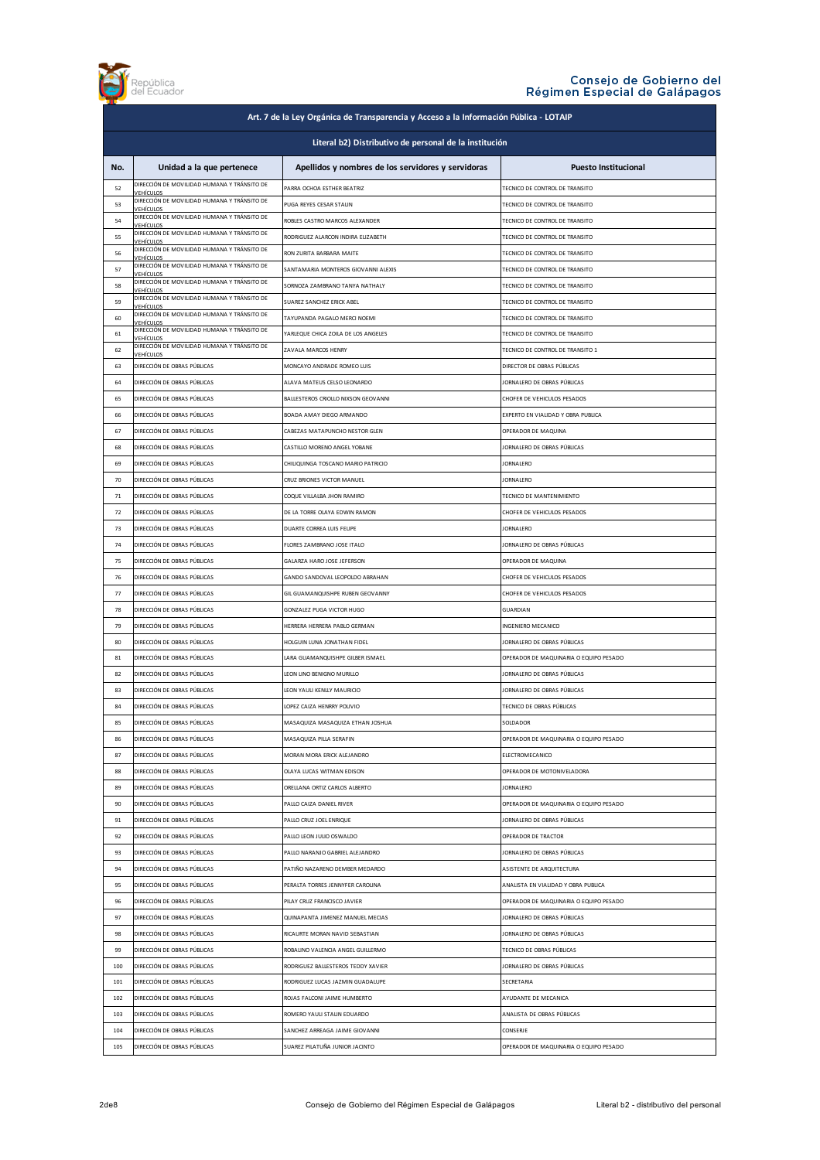

| Art. 7 de la Ley Orgánica de Transparencia y Acceso a la Información Pública - LOTAIP |                                                                 |                                                    |                                        |
|---------------------------------------------------------------------------------------|-----------------------------------------------------------------|----------------------------------------------------|----------------------------------------|
| Literal b2) Distributivo de personal de la institución                                |                                                                 |                                                    |                                        |
| No.                                                                                   | Unidad a la que pertenece                                       | Apellidos y nombres de los servidores y servidoras | <b>Puesto Institucional</b>            |
| 52                                                                                    | DIRECCIÓN DE MOVILIDAD HUMANA Y TRÁNSITO DE<br><b>VEHÍCULOS</b> | PARRA OCHOA ESTHER BEATRIZ                         | TECNICO DE CONTROL DE TRANSITO         |
| 53                                                                                    | DIRECCIÓN DE MOVILIDAD HUMANA Y TRÁNSITO DE<br>VEHÍCULOS        | PUGA REYES CESAR STALIN                            | TECNICO DE CONTROL DE TRANSITO         |
| 54                                                                                    | DIRECCIÓN DE MOVILIDAD HUMANA Y TRÁNSITO DE                     | ROBLES CASTRO MARCOS ALEXANDER                     | TECNICO DE CONTROL DE TRANSITO         |
| 55                                                                                    | VEHÍCULOS<br>DIRECCIÓN DE MOVILIDAD HUMANA Y TRÁNSITO DE        | RODRIGUEZ ALARCON INDIRA ELIZABETH                 | TECNICO DE CONTROL DE TRANSITO         |
| 56                                                                                    | <u>VEHÍCULOS</u><br>DIRECCIÓN DE MOVILIDAD HUMANA Y TRÁNSITO DE | RON ZURITA BARBARA MAITE                           | TECNICO DE CONTROL DE TRANSITO         |
| 57                                                                                    | VEHÍCULOS<br>DIRECCIÓN DE MOVILIDAD HUMANA Y TRÁNSITO DE        | SANTAMARIA MONTFROS GIOVANNI ALEXIS                | TECNICO DE CONTROL DE TRANSITO         |
| 58                                                                                    | /FHÍCULOS<br>DIRECCIÓN DE MOVILIDAD HUMANA Y TRÁNSITO DE        | SORNOZA ZAMBRANO TANYA NATHALY                     | TECNICO DE CONTROL DE TRANSITO         |
| 59                                                                                    | <b>EHÍCULOS</b><br>DIRECCIÓN DE MOVILIDAD HUMANA Y TRÁNSITO DE  | SUAREZ SANCHEZ ERICK ABEL                          | TECNICO DE CONTROL DE TRANSITO         |
| 60                                                                                    | <b>EHÍCULOS</b><br>DIRECCIÓN DE MOVILIDAD HUMANA Y TRÁNSITO DE  | TAYUPANDA PAGALO MERCI NOEMI                       | TECNICO DE CONTROL DE TRANSITO         |
| 61                                                                                    | / EHÍCULOS<br>DIRECCIÓN DE MOVILIDAD HUMANA Y TRÁNSITO DE       | YARLEQUE CHICA ZOILA DE LOS ANGELES                | TECNICO DE CONTROL DE TRANSITO         |
| 62                                                                                    | VEHÍCULOS<br>DIRECCIÓN DE MOVILIDAD HUMANA Y TRÁNSITO DE        | ZAVALA MARCOS HENRY                                | TECNICO DE CONTROL DE TRANSITO 1       |
| 63                                                                                    | <u><i>VEHÍCULOS</i></u><br>DIRECCIÓN DE OBRAS PÚBLICAS          | MONCAYO ANDRADE ROMEO LUIS                         | DIRECTOR DE OBRAS PÚBLICAS             |
| 64                                                                                    | DIRECCIÓN DE OBRAS PÚBLICAS                                     | ALAVA MATEUS CELSO LEONARDO                        | JORNALERO DE OBRAS PÚBLICAS            |
| 65                                                                                    | DIRECCIÓN DE OBRAS PÚBLICAS                                     | BALLESTEROS CRIOLLO NIXSON GEOVANNI                | CHOFER DE VEHICULOS PESADOS            |
| 66                                                                                    | DIRECCIÓN DE OBRAS PÚBLICAS                                     | BOADA AMAY DIEGO ARMANDO                           | EXPERTO EN VIALIDAD Y OBRA PUBLICA     |
| 67                                                                                    | DIRECCIÓN DE OBRAS PÚBLICAS                                     | CABEZAS MATAPUNCHO NESTOR GLEN                     | OPERADOR DE MAQUINA                    |
| 68                                                                                    | DIRECCIÓN DE OBRAS PÚBLICAS                                     | CASTILLO MORENO ANGEL YOBANE                       | JORNALERO DE OBRAS PÚBLICAS            |
| 69                                                                                    | DIRECCIÓN DE OBRAS PÚBLICAS                                     | CHILIQUINGA TOSCANO MARIO PATRICIO                 | <b>IORNALERO</b>                       |
| 70                                                                                    | DIRECCIÓN DE OBRAS PÚBLICAS                                     | CRUZ BRIONES VICTOR MANUEL                         | <b>JORNALERO</b>                       |
| 71                                                                                    | DIRECCIÓN DE OBRAS PÚBLICAS                                     | COQUE VILLALBA JHON RAMIRO                         | TECNICO DE MANTENIMIENTO               |
| 72                                                                                    | DIRECCIÓN DE OBRAS PÚBLICAS                                     | DE LA TORRE OLAYA EDWIN RAMON                      | CHOFER DE VEHICULOS PESADOS            |
| 73                                                                                    | DIRECCIÓN DE OBRAS PÚBLICAS                                     | DUARTE CORREA LUIS FELIPE                          | <b>JORNALERO</b>                       |
| 74                                                                                    | DIRECCIÓN DE OBRAS PÚBLICAS                                     | FLORES ZAMBRANO JOSE ITALO                         | JORNALERO DE OBRAS PÚBLICAS            |
| 75                                                                                    | DIRECCIÓN DE OBRAS PÚBLICAS                                     | GALARZA HARO JOSE JEFERSON                         | OPERADOR DE MAQUINA                    |
| 76                                                                                    | DIRECCIÓN DE OBRAS PÚBLICAS                                     | GANDO SANDOVAL LEOPOLDO ABRAHAN                    | CHOFER DE VEHICULOS PESADOS            |
| 77                                                                                    | DIRECCIÓN DE OBRAS PÚBLICAS                                     | GIL GUAMANQUISHPE RUBEN GEOVANNY                   | CHOFER DE VEHICULOS PESADOS            |
| 78                                                                                    | DIRECCIÓN DE OBRAS PÚBLICAS                                     | GONZALEZ PUGA VICTOR HUGO                          | <b>GUARDIAN</b>                        |
| 79                                                                                    | DIRECCIÓN DE OBRAS PÚBLICAS                                     | HERRERA HERRERA PABLO GERMAN                       | INGENIERO MECANICO                     |
| 80                                                                                    | DIRECCIÓN DE OBRAS PÚBLICAS                                     | HOLGUIN LUNA JONATHAN FIDEL                        | JORNALERO DE OBRAS PÚBLICAS            |
| 81                                                                                    | DIRECCIÓN DE OBRAS PÚBLICAS                                     | LARA GUAMANQUISHPE GILBER ISMAEL                   | OPERADOR DE MAQUINARIA O EQUIPO PESADO |
| 82                                                                                    | DIRECCIÓN DE OBRAS PÚBLICAS                                     | LEON LINO BENIGNO MURILLO                          | JORNALERO DE OBRAS PÚBLICAS            |
| 83                                                                                    | DIRECCIÓN DE OBRAS PÚBLICAS                                     | LEON YAULI KENLLY MAURICIO                         | JORNALERO DE OBRAS PÚBLICAS            |
| 84                                                                                    | DIRECCIÓN DE OBRAS PÚBLICAS                                     | LOPEZ CAIZA HENRRY POLIVIO                         | TECNICO DE OBRAS PÚBLICAS              |
| 85                                                                                    | DIRECCIÓN DE OBRAS PÚBLICAS                                     | MASAQUIZA MASAQUIZA ETHAN JOSHUA                   | SOLDADOR                               |
| 86                                                                                    | DIRECCIÓN DE OBRAS PÚBLICAS                                     | MASAQUIZA PILLA SERAFIN                            | OPERADOR DE MAQUINARIA O EQUIPO PESADO |
| 87                                                                                    | DIRECCIÓN DE OBRAS PÚBLICAS                                     | MORAN MORA ERICK ALEJANDRO                         | ELECTROMECANICO                        |
| 88                                                                                    | DIRECCIÓN DE OBRAS PÚBLICAS                                     | OLAYA LUCAS WITMAN EDISON                          | OPERADOR DE MOTONIVELADORA             |
| 89                                                                                    | DIRECCIÓN DE OBRAS PÚBLICAS                                     | ORELLANA ORTIZ CARLOS ALBERTO                      | <b>JORNALERO</b>                       |
| 90                                                                                    | DIRECCIÓN DE OBRAS PÚBLICAS                                     | PALLO CAIZA DANIEL RIVER                           | OPERADOR DE MAQUINARIA O EQUIPO PESADO |
| 91                                                                                    | DIRECCIÓN DE OBRAS PÚBLICAS                                     | PALLO CRUZ JOEL ENRIQUE                            | JORNALERO DE OBRAS PÚBLICAS            |
| 92                                                                                    | DIRECCIÓN DE OBRAS PÚBLICAS                                     | PALLO LEON JULIO OSWALDO                           | OPERADOR DE TRACTOR                    |
| 93                                                                                    | DIRECCIÓN DE OBRAS PÚBLICAS                                     | PALLO NARANJO GABRIEL ALEJANDRO                    | JORNALERO DE OBRAS PÚBLICAS            |
| 94                                                                                    | DIRECCIÓN DE OBRAS PÚBLICAS                                     | PATIÑO NAZARENO DEMBER MEDARDO                     | ASISTENTE DE ARQUITECTURA              |
| 95                                                                                    | DIRECCIÓN DE OBRAS PÚBLICAS                                     |                                                    | ANALISTA EN VIALIDAD Y OBRA PUBLICA    |
| 96                                                                                    | DIRECCIÓN DE OBRAS PÚBLICAS                                     | PERALTA TORRES JENNYFER CAROLINA                   |                                        |
|                                                                                       |                                                                 | PILAY CRUZ FRANCISCO JAVIER                        | OPERADOR DE MAQUINARIA O EQUIPO PESADO |
| 97                                                                                    | DIRECCIÓN DE OBRAS PÚBLICAS                                     | QUINAPANTA JIMENEZ MANUEL MECIAS                   | JORNALERO DE OBRAS PÚBLICAS            |
| 98                                                                                    | DIRECCIÓN DE OBRAS PÚBLICAS                                     | RICAURTE MORAN NAVID SEBASTIAN                     | JORNALERO DE OBRAS PÚBLICAS            |
| 99                                                                                    | DIRECCIÓN DE OBRAS PÚBLICAS                                     | ROBALINO VALENCIA ANGEL GUILLERMO                  | TECNICO DE OBRAS PÚBLICAS              |
| 100                                                                                   | DIRECCIÓN DE OBRAS PÚBLICAS                                     | RODRIGUEZ BALLESTEROS TEDDY XAVIER                 | JORNALERO DE OBRAS PÚBLICAS            |
| 101                                                                                   | DIRECCIÓN DE OBRAS PÚBLICAS                                     | RODRIGUEZ LUCAS JAZMIN GUADALUPE                   | SECRETARIA                             |
| 102                                                                                   | DIRECCIÓN DE OBRAS PÚBLICAS                                     | ROJAS FALCONI JAIME HUMBERTO                       | AYUDANTE DE MECANICA                   |
| 103                                                                                   | DIRECCIÓN DE OBRAS PÚBLICAS                                     | ROMERO YAULI STALIN EDUARDO                        | ANALISTA DE OBRAS PÚBLICAS             |
| 104                                                                                   | DIRECCIÓN DE OBRAS PÚBLICAS                                     | SANCHEZ ARREAGA JAIME GIOVANNI                     | CONSERJE                               |
| 105                                                                                   | DIRECCIÓN DE OBRAS PÚBLICAS                                     | SUAREZ PILATUÑA JUNIOR JACINTO                     | OPERADOR DE MAQUINARIA O EQUIPO PESADO |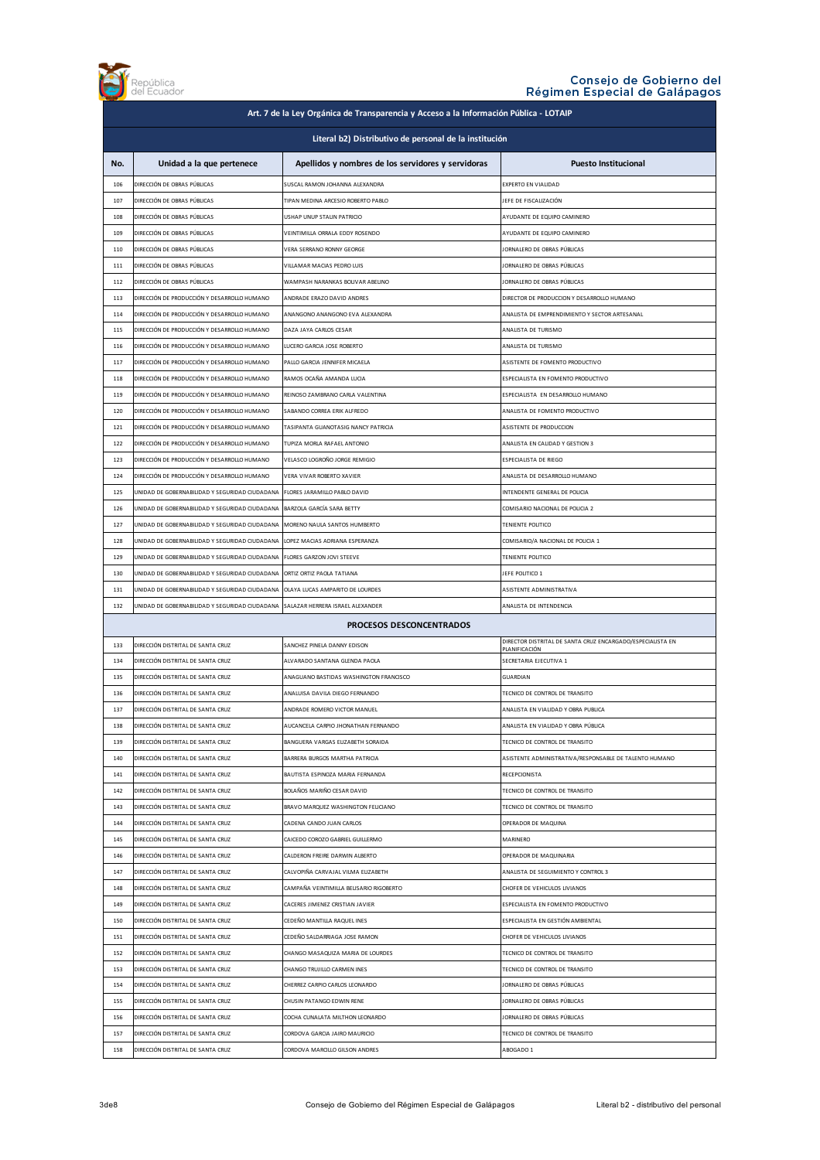

| Art. 7 de la Ley Orgánica de Transparencia y Acceso a la Información Pública - LOTAIP |                                                |                                                    |                                                            |
|---------------------------------------------------------------------------------------|------------------------------------------------|----------------------------------------------------|------------------------------------------------------------|
| Literal b2) Distributivo de personal de la institución                                |                                                |                                                    |                                                            |
| No.                                                                                   | Unidad a la que pertenece                      | Apellidos y nombres de los servidores y servidoras | <b>Puesto Institucional</b>                                |
| 106                                                                                   | DIRECCIÓN DE OBRAS PÚBLICAS                    | SUSCAL RAMON JOHANNA ALEXANDRA                     | EXPERTO EN VIALIDAD                                        |
| 107                                                                                   | DIRECCIÓN DE OBRAS PÚBLICAS                    | TIPAN MEDINA ARCESIO ROBERTO PABLO                 | JEFE DE FISCALIZACIÓN                                      |
| 108                                                                                   | DIRECCIÓN DE OBRAS PÚBLICAS                    | USHAP UNUP STALIN PATRICIO                         | AYUDANTE DE EQUIPO CAMINERO                                |
| 109                                                                                   | DIRECCIÓN DE OBRAS PÚBLICAS                    | VEINTIMILLA ORRALA EDDY ROSENDO                    | AYUDANTE DE EQUIPO CAMINERO                                |
| 110                                                                                   | DIRECCIÓN DE OBRAS PÚBLICAS                    | VERA SERRANO RONNY GEORGE                          | JORNALERO DE OBRAS PÚBLICAS                                |
| 111                                                                                   | DIRECCIÓN DE OBRAS PÚBLICAS                    | VILLAMAR MACIAS PEDRO LUIS                         | JORNALERO DE OBRAS PÚBLICAS                                |
| 112                                                                                   | DIRECCIÓN DE OBRAS PÚBLICAS                    | WAMPASH NARANKAS BOLIVAR ABELINO                   | JORNALERO DE OBRAS PÚBLICAS                                |
| 113                                                                                   | DIRECCIÓN DE PRODUCCIÓN Y DESARROLLO HUMANO    | ANDRADE ERAZO DAVID ANDRES                         | DIRECTOR DE PRODUCCION Y DESARROLLO HUMANO                 |
| 114                                                                                   | DIRECCIÓN DE PRODUCCIÓN Y DESARROLLO HUMANO    | ANANGONO ANANGONO EVA ALEXANDRA                    | ANALISTA DE EMPRENDIMIENTO Y SECTOR ARTESANAL              |
| 115                                                                                   | DIRECCIÓN DE PRODUCCIÓN Y DESARROLLO HUMANO    | DAZA JAYA CARLOS CESAR                             | ANALISTA DE TURISMO                                        |
| 116                                                                                   | DIRECCIÓN DE PRODUCCIÓN Y DESARROLLO HUMANO    | LUCERO GARCIA JOSE ROBERTO                         | ANALISTA DE TURISMO                                        |
| 117                                                                                   | DIRECCIÓN DE PRODUCCIÓN Y DESARROLLO HUMANO    | PALLO GARCIA JENNIFER MICAELA                      | ASISTENTE DE FOMENTO PRODUCTIVO                            |
| 118                                                                                   | DIRECCIÓN DE PRODUCCIÓN Y DESARROLLO HUMANO    | RAMOS OCAÑA AMANDA I UCIA                          | ESPECIALISTA EN FOMENTO PRODUCTIVO                         |
| 119                                                                                   | DIRECCIÓN DE PRODUCCIÓN Y DESARROLLO HUMANO    | REINOSO ZAMBRANO CARLA VALENTINA                   | ESPECIALISTA EN DESARROLLO HUMANO                          |
| 120                                                                                   | DIRECCIÓN DE PRODUCCIÓN Y DESARROLLO HUMANO    | SABANDO CORREA ERIK ALFREDO                        | ANALISTA DE FOMENTO PRODUCTIVO                             |
| 121                                                                                   | DIRECCIÓN DE PRODUCCIÓN Y DESARROLLO HUMANO    | TASIPANTA GUANOTASIG NANCY PATRICIA                | ASISTENTE DE PRODUCCION                                    |
| 122                                                                                   | DIRECCIÓN DE PRODUCCIÓN Y DESARROLLO HUMANO    | TUPIZA MORLA RAFAEL ANTONIO                        | ANALISTA EN CALIDAD Y GESTION 3                            |
| 123                                                                                   | DIRECCIÓN DE PRODUCCIÓN Y DESARROLLO HUMANO    | VELASCO LOGROÑO JORGE REMIGIO                      | ESPECIALISTA DE RIEGO                                      |
| 124                                                                                   | DIRECCIÓN DE PRODUCCIÓN Y DESARROLLO HUMANO    | VERA VIVAR ROBERTO XAVIER                          | ANALISTA DE DESARROLLO HUMANO                              |
| 125                                                                                   | UNIDAD DE GOBERNABILIDAD Y SEGURIDAD CIUDADANA | FLORES JARAMILLO PABLO DAVID                       | INTENDENTE GENERAL DE POLICIA                              |
| 126                                                                                   | UNIDAD DE GOBERNABILIDAD Y SEGURIDAD CIUDADANA | BARZOLA GARCÍA SARA BETTY                          | COMISARIO NACIONAL DE POLICIA 2                            |
| 127                                                                                   | UNIDAD DE GOBERNABILIDAD Y SEGURIDAD CIUDADANA | MORENO NAULA SANTOS HUMBERTO                       | TENIENTE POLITICO                                          |
| 128                                                                                   | UNIDAD DE GOBERNABILIDAD Y SEGURIDAD CIUDADANA | LOPEZ MACIAS ADRIANA ESPERANZA                     | COMISARIO/A NACIONAL DE POLICIA 1                          |
| 129                                                                                   | UNIDAD DE GOBERNABILIDAD Y SEGURIDAD CIUDADANA | FLORES GARZON JOVI STEEVE                          | TENIENTE POLITICO                                          |
| 130                                                                                   | UNIDAD DE GOBERNABILIDAD Y SEGURIDAD CIUDADANA | ORTIZ ORTIZ PAOLA TATIANA                          | JEFE POLITICO 1                                            |
| 131                                                                                   | UNIDAD DE GOBERNABILIDAD Y SEGURIDAD CIUDADANA | OLAYA LUCAS AMPARITO DE LOURDES                    | ASISTENTE ADMINISTRATIVA                                   |
| 132                                                                                   | UNIDAD DE GOBERNABILIDAD Y SEGURIDAD CIUDADANA | SALAZAR HERRERA ISRAEL ALEXANDER                   | ANALISTA DE INTENDENCIA                                    |
|                                                                                       |                                                | <b>PROCESOS DESCONCENTRADOS</b>                    |                                                            |
| 133                                                                                   | DIRECCIÓN DISTRITAL DE SANTA CRUZ              | SANCHEZ PINELA DANNY EDISON                        | DIRECTOR DISTRITAL DE SANTA CRUZ ENCARGADO/ESPECIALISTA EN |
| 134                                                                                   | DIRECCIÓN DISTRITAL DE SANTA CRUZ              | ALVARADO SANTANA GLENDA PAOLA                      | PLANIFICACIÓN<br>SECRETARIA EJECUTIVA 1                    |
| 135                                                                                   | DIRECCIÓN DISTRITAL DE SANTA CRUZ              | ANAGUANO BASTIDAS WASHINGTON FRANCISCO             | GUARDIAN                                                   |
| 136                                                                                   | DIRECCIÓN DISTRITAL DE SANTA CRUZ              | ANALUISA DAVILA DIEGO FERNANDO                     | TECNICO DE CONTROL DE TRANSITO                             |
| 137                                                                                   | DIRECCIÓN DISTRITAL DE SANTA CRUZ              | ANDRADE ROMERO VICTOR MANUEL                       | ANALISTA EN VIALIDAD Y OBRA PUBLICA                        |
| 138                                                                                   | DIRECCION DISTRITAL DE SANTA CRUZ              | AUCANCELA CARPIO JHONATHAN FERNANDO                | ANALISTA EN VIALIDAD Y OBRA PUBLICA                        |
| 139                                                                                   | DIRECCIÓN DISTRITAL DE SANTA CRUZ              | BANGUERA VARGAS ELIZABETH SORAIDA                  | TECNICO DE CONTROL DE TRANSITO                             |
| 140                                                                                   | DIRECCIÓN DISTRITAL DE SANTA CRUZ              | BARRERA BURGOS MARTHA PATRICIA                     | ASISTENTE ADMINISTRATIVA/RESPONSABLE DE TALENTO HUMANO     |
| 141                                                                                   | DIRECCIÓN DISTRITAL DE SANTA CRUZ              | BAUTISTA ESPINOZA MARIA FERNANDA                   | RECEPCIONISTA                                              |
| 142                                                                                   | DIRECCIÓN DISTRITAL DE SANTA CRUZ              | BOLAÑOS MARIÑO CESAR DAVID                         | TECNICO DE CONTROL DE TRANSITO                             |
| 143                                                                                   | DIRECCIÓN DISTRITAL DE SANTA CRUZ              | BRAVO MARQUEZ WASHINGTON FELICIANO                 | TECNICO DE CONTROL DE TRANSITO                             |
| 144                                                                                   | DIRECCIÓN DISTRITAL DE SANTA CRUZ              | CADENA CANDO JUAN CARLOS                           | OPERADOR DE MAQUINA                                        |
| 145                                                                                   | DIRECCIÓN DISTRITAL DE SANTA CRUZ              | CAICEDO COROZO GABRIEL GUILLERMO                   | MARINERO                                                   |
| 146                                                                                   | DIRECCIÓN DISTRITAL DE SANTA CRUZ              | CALDERON FREIRE DARWIN ALBERTO                     | OPERADOR DE MAQUINARIA                                     |
| 147                                                                                   | DIRECCIÓN DISTRITAL DE SANTA CRUZ              | CALVOPIÑA CARVAJAL VILMA ELIZABETH                 | ANALISTA DE SEGUIMIENTO Y CONTROL 3                        |
| 148                                                                                   | DIRECCIÓN DISTRITAL DE SANTA CRUZ              | CAMPAÑA VEINTIMILLA BELISARIO RIGOBERTO            | CHOFER DE VEHICULOS LIVIANOS                               |
| 149                                                                                   | DIRECCIÓN DISTRITAL DE SANTA CRUZ              | CACERES JIMENEZ CRISTIAN JAVIER                    | ESPECIALISTA EN FOMENTO PRODUCTIVO                         |
| 150                                                                                   | DIRECCIÓN DISTRITAL DE SANTA CRUZ              | CEDEÑO MANTILLA RAQUEL INES                        | ESPECIALISTA EN GESTIÓN AMBIENTAL                          |
| 151                                                                                   | DIRECCIÓN DISTRITAL DE SANTA CRUZ              | CEDEÑO SALDARRIAGA JOSE RAMON                      | CHOFER DE VEHICULOS LIVIANOS                               |
| 152                                                                                   | DIRECCIÓN DISTRITAL DE SANTA CRUZ              | CHANGO MASAQUIZA MARIA DE LOURDES                  | TECNICO DE CONTROL DE TRANSITO                             |
| 153                                                                                   | DIRECCIÓN DISTRITAL DE SANTA CRUZ              | CHANGO TRUJILLO CARMEN INES                        | TECNICO DE CONTROL DE TRANSITO                             |
| 154                                                                                   | DIRECCIÓN DISTRITAL DE SANTA CRUZ              | CHERREZ CARPIO CARLOS LEONARDO                     | JORNALERO DE OBRAS PÚBLICAS                                |
| 155                                                                                   | DIRECCIÓN DISTRITAL DE SANTA CRUZ              | CHUSIN PATANGO EDWIN RENE                          | JORNALERO DE OBRAS PÚBLICAS                                |
| 156                                                                                   | DIRECCIÓN DISTRITAL DE SANTA CRUZ              | COCHA CUNALATA MILTHON LEONARDO                    | JORNALERO DE OBRAS PÚBLICAS                                |
|                                                                                       | DIRECCIÓN DISTRITAL DE SANTA CRUZ              | CORDOVA GARCIA JAIRO MAURICIO                      | TECNICO DE CONTROL DE TRANSITO                             |
| 157                                                                                   |                                                |                                                    |                                                            |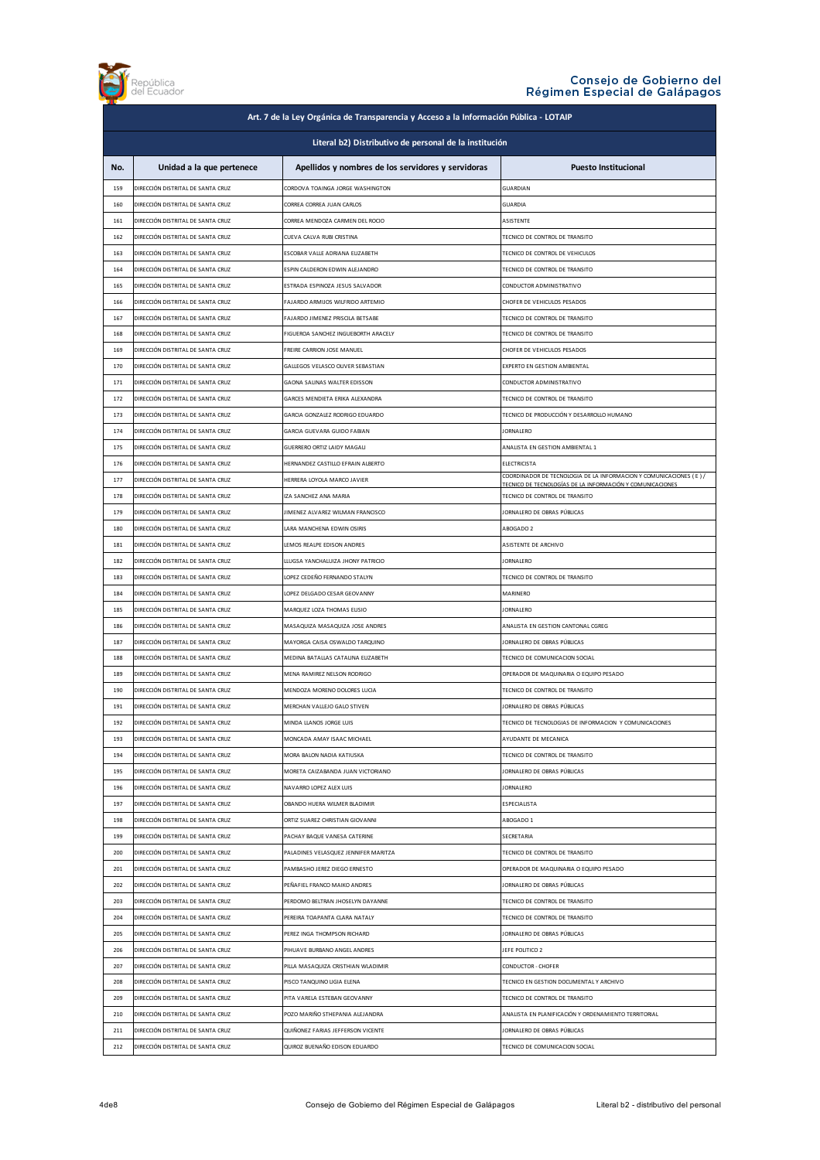

| Art. 7 de la Ley Orgánica de Transparencia y Acceso a la Información Pública - LOTAIP |                                   |                                                             |                                                                                             |
|---------------------------------------------------------------------------------------|-----------------------------------|-------------------------------------------------------------|---------------------------------------------------------------------------------------------|
| Literal b2) Distributivo de personal de la institución                                |                                   |                                                             |                                                                                             |
| No.                                                                                   | Unidad a la que pertenece         | Apellidos y nombres de los servidores y servidoras          | <b>Puesto Institucional</b>                                                                 |
| 159                                                                                   | DIRECCIÓN DISTRITAL DE SANTA CRUZ | CORDOVA TOAINGA JORGE WASHINGTON                            | GUARDIAN                                                                                    |
| 160                                                                                   | DIRECCIÓN DISTRITAL DE SANTA CRUZ | CORREA CORREA JUAN CARLOS                                   | <b>GUARDIA</b>                                                                              |
| 161                                                                                   | DIRECCIÓN DISTRITAL DE SANTA CRUZ | CORREA MENDOZA CARMEN DEL ROCIO                             | <b>ASISTENTE</b>                                                                            |
| 162                                                                                   | DIRECCIÓN DISTRITAL DE SANTA CRUZ | CUEVA CALVA RUBI CRISTINA                                   | TECNICO DE CONTROL DE TRANSITO                                                              |
| 163                                                                                   | DIRECCIÓN DISTRITAL DE SANTA CRUZ | ESCOBAR VALLE ADRIANA ELIZABETH                             | TECNICO DE CONTROL DE VEHICULOS                                                             |
| 164                                                                                   | DIRECCIÓN DISTRITAL DE SANTA CRUZ | ESPIN CALDERON EDWIN ALEJANDRO                              | TECNICO DE CONTROL DE TRANSITO                                                              |
| 165                                                                                   | DIRECCIÓN DISTRITAL DE SANTA CRUZ | ESTRADA ESPINOZA JESUS SALVADOR                             | CONDUCTOR ADMINISTRATIVO                                                                    |
| 166                                                                                   | DIRECCIÓN DISTRITAL DE SANTA CRUZ | FAJARDO ARMIJOS WILFRIDO ARTEMIO                            | CHOFER DE VEHICULOS PESADOS                                                                 |
| 167                                                                                   | DIRECCIÓN DISTRITAL DE SANTA CRUZ | FAJARDO JIMENEZ PRISCILA BETSABE                            | TECNICO DE CONTROL DE TRANSITO                                                              |
| 168                                                                                   | DIRECCIÓN DISTRITAL DE SANTA CRUZ | FIGUEROA SANCHEZ INGUEBORTH ARACELY                         | TECNICO DE CONTROL DE TRANSITO                                                              |
| 169                                                                                   | DIRECCIÓN DISTRITAL DE SANTA CRUZ | FREIRE CARRION JOSE MANUEL                                  | CHOFER DE VEHICULOS PESADOS                                                                 |
| 170                                                                                   | DIRECCIÓN DISTRITAL DE SANTA CRUZ | GALLEGOS VELASCO OLIVER SEBASTIAN                           | EXPERTO EN GESTION AMBIENTAL                                                                |
| 171                                                                                   | DIRECCIÓN DISTRITAL DE SANTA CRUZ | GAONA SALINAS WALTER EDISSON                                | CONDUCTOR ADMINISTRATIVO                                                                    |
| 172                                                                                   | DIRECCIÓN DISTRITAL DE SANTA CRUZ | GARCES MENDIETA ERIKA ALEXANDRA                             | TECNICO DE CONTROL DE TRANSITO                                                              |
| 173                                                                                   | DIRECCIÓN DISTRITAL DE SANTA CRUZ | GARCIA GONZALEZ RODRIGO EDUARDO                             | TECNICO DE PRODUCCIÓN Y DESARROLLO HUMANO                                                   |
| 174                                                                                   | DIRECCIÓN DISTRITAL DE SANTA CRUZ | GARCIA GUEVARA GUIDO FABIAN                                 | <b>JORNALERO</b>                                                                            |
| 175                                                                                   | DIRECCIÓN DISTRITAL DE SANTA CRUZ | GUERRERO ORTIZ LAIDY MAGALI                                 | ANALISTA EN GESTION AMBIENTAL 1                                                             |
| 176                                                                                   | DIRECCIÓN DISTRITAL DE SANTA CRUZ | HERNANDEZ CASTILLO EFRAIN ALBERTO                           | <b>ELECTRICISTA</b>                                                                         |
| 177                                                                                   | DIRECCIÓN DISTRITAL DE SANTA CRUZ | HERRERA LOYOLA MARCO JAVIER                                 | COORDINADOR DE TECNOLOGIA DE LA INFORMACION Y COMUNICACIONES (E)/                           |
| 178                                                                                   | DIRECCIÓN DISTRITAL DE SANTA CRUZ | IZA SANCHEZ ANA MARIA                                       | TECNICO DE TECNOLOGÍAS DE LA INFORMACIÓN Y COMUNICACIONES<br>TECNICO DE CONTROL DE TRANSITO |
| 179                                                                                   | DIRECCIÓN DISTRITAL DE SANTA CRUZ | JIMENEZ ALVAREZ WILMAN FRANCISCO                            | JORNALERO DE OBRAS PÚBLICAS                                                                 |
| 180                                                                                   | DIRECCIÓN DISTRITAL DE SANTA CRUZ | LARA MANCHENA EDWIN OSIRIS                                  | ABOGADO 2                                                                                   |
| 181                                                                                   | DIRECCIÓN DISTRITAL DE SANTA CRUZ | LEMOS REALPE EDISON ANDRES                                  | ASISTENTE DE ARCHIVO                                                                        |
| 182                                                                                   | DIRECCIÓN DISTRITAL DE SANTA CRUZ | LLUGSA YANCHALUIZA JHONY PATRICIO                           | <b>JORNALERO</b>                                                                            |
| 183                                                                                   | DIRECCIÓN DISTRITAL DE SANTA CRUZ | LOPEZ CEDEÑO FERNANDO STALYN                                | TECNICO DE CONTROL DE TRANSITO                                                              |
| 184                                                                                   | DIRECCIÓN DISTRITAL DE SANTA CRUZ | LOPEZ DELGADO CESAR GEOVANNY                                | MARINERO                                                                                    |
| 185                                                                                   | DIRECCIÓN DISTRITAL DE SANTA CRUZ | MARQUEZ LOZA THOMAS ELISIO                                  | <b>JORNALERO</b>                                                                            |
| 186                                                                                   | DIRECCIÓN DISTRITAL DE SANTA CRUZ | MASAQUIZA MASAQUIZA JOSE ANDRES                             | ANALISTA EN GESTION CANTONAL CGREG                                                          |
| 187                                                                                   | DIRECCIÓN DISTRITAL DE SANTA CRUZ | MAYORGA CAISA OSWALDO TAROUINO                              | JORNALERO DE OBRAS PÚBLICAS                                                                 |
| 188                                                                                   | DIRECCIÓN DISTRITAL DE SANTA CRUZ | MEDINA BATALLAS CATALINA EUZABETH                           | TECNICO DE COMUNICACION SOCIAL                                                              |
| 189                                                                                   | DIRECCIÓN DISTRITAL DE SANTA CRUZ | MENA RAMIREZ NELSON RODRIGO                                 | OPERADOR DE MAQUINARIA O EQUIPO PESADO                                                      |
| 190                                                                                   | DIRECCIÓN DISTRITAL DE SANTA CRUZ | MENDOZA MORENO DOLORES LUCIA                                | TECNICO DE CONTROL DE TRANSITO                                                              |
| 191                                                                                   | DIRECCIÓN DISTRITAL DE SANTA CRUZ | MERCHAN VALLEJO GALO STIVEN                                 | JORNALERO DE OBRAS PÚBLICAS                                                                 |
| 192                                                                                   | DIRECCIÓN DISTRITAL DE SANTA CRUZ | MINDA LLANOS JORGE LUIS                                     | TECNICO DE TECNOLOGIAS DE INFORMACION Y COMUNICACIONES                                      |
| 193                                                                                   | DIRECCIÓN DISTRITAL DE SANTA CRUZ | MONCADA AMAY ISAAC MICHAEL                                  | AYUDANTE DE MECANICA                                                                        |
| 194                                                                                   | DIRECCIÓN DISTRITAL DE SANTA CRUZ | MORA BALON NADIA KATIUSKA                                   | TECNICO DE CONTROL DE TRANSITO                                                              |
| 195                                                                                   | DIRECCIÓN DISTRITAL DE SANTA CRUZ | MORETA CAIZABANDA JUAN VICTORIANO                           | JORNALERO DE OBRAS PÚBLICAS                                                                 |
| 196                                                                                   | DIRECCIÓN DISTRITAL DE SANTA CRUZ | NAVARRO LOPEZ ALEX LUIS                                     | <b>JORNALERO</b>                                                                            |
| 197                                                                                   | DIRECCIÓN DISTRITAL DE SANTA CRUZ | OBANDO HUERA WILMER BLADIMIR                                | ESPECIALISTA                                                                                |
| 198                                                                                   | DIRECCIÓN DISTRITAL DE SANTA CRUZ | ORTIZ SUAREZ CHRISTIAN GIOVANNI                             | ABOGADO 1                                                                                   |
| 199                                                                                   | DIRECCIÓN DISTRITAL DE SANTA CRUZ | PACHAY BAQUE VANESA CATERINE                                | <b>SECRETARIA</b>                                                                           |
| 200                                                                                   | DIRECCIÓN DISTRITAL DE SANTA CRUZ | PALADINES VELASQUEZ JENNIFER MARITZA                        | TECNICO DE CONTROL DE TRANSITO                                                              |
| 201                                                                                   | DIRECCIÓN DISTRITAL DE SANTA CRUZ | PAMBASHO JEREZ DIEGO ERNESTO                                | OPERADOR DE MAQUINARIA O EQUIPO PESADO                                                      |
| 202                                                                                   | DIRECCIÓN DISTRITAL DE SANTA CRUZ | PEÑAFIEL FRANCO MAIKO ANDRES                                | JORNALERO DE OBRAS PÚBLICAS                                                                 |
| 203                                                                                   | DIRECCIÓN DISTRITAL DE SANTA CRUZ | PERDOMO BELTRAN JHOSELYN DAYANNE                            | TECNICO DE CONTROL DE TRANSITO                                                              |
|                                                                                       |                                   |                                                             |                                                                                             |
| 204                                                                                   | DIRECCIÓN DISTRITAL DE SANTA CRUZ | PEREIRA TOAPANTA CLARA NATALY                               | TECNICO DE CONTROL DE TRANSITO                                                              |
| 205<br>206                                                                            | DIRECCIÓN DISTRITAL DE SANTA CRUZ | PEREZ INGA THOMPSON RICHARD<br>PIHUAVE BURBANO ANGEL ANDRES | JORNALERO DE OBRAS PÚBLICAS<br>JEFE POLITICO 2                                              |
|                                                                                       | DIRECCIÓN DISTRITAL DE SANTA CRUZ |                                                             |                                                                                             |
| 207                                                                                   | DIRECCIÓN DISTRITAL DE SANTA CRUZ | PILLA MASAQUIZA CRISTHIAN WLADIMIR                          | CONDUCTOR - CHOFER                                                                          |
| 208                                                                                   | DIRECCIÓN DISTRITAL DE SANTA CRUZ | PISCO TANQUINO LIGIA ELENA                                  | TECNICO EN GESTION DOCUMENTAL Y ARCHIVO                                                     |
| 209                                                                                   | DIRECCIÓN DISTRITAL DE SANTA CRUZ | PITA VARELA ESTEBAN GEOVANNY                                | TECNICO DE CONTROL DE TRANSITO                                                              |
| 210                                                                                   | DIRECCIÓN DISTRITAL DE SANTA CRUZ | POZO MARIÑO STHEPANIA ALEJANDRA                             | ANALISTA EN PLANIFICACIÓN Y ORDENAMIENTO TERRITORIAL                                        |
| 211                                                                                   | DIRECCIÓN DISTRITAL DE SANTA CRUZ | QUIÑONEZ FARIAS JEFFERSON VICENTE                           | JORNALERO DE OBRAS PÚBLICAS                                                                 |
| 212                                                                                   | DIRECCIÓN DISTRITAL DE SANTA CRUZ | QUIROZ BUENAÑO EDISON EDUARDO                               | TECNICO DE COMUNICACION SOCIAL                                                              |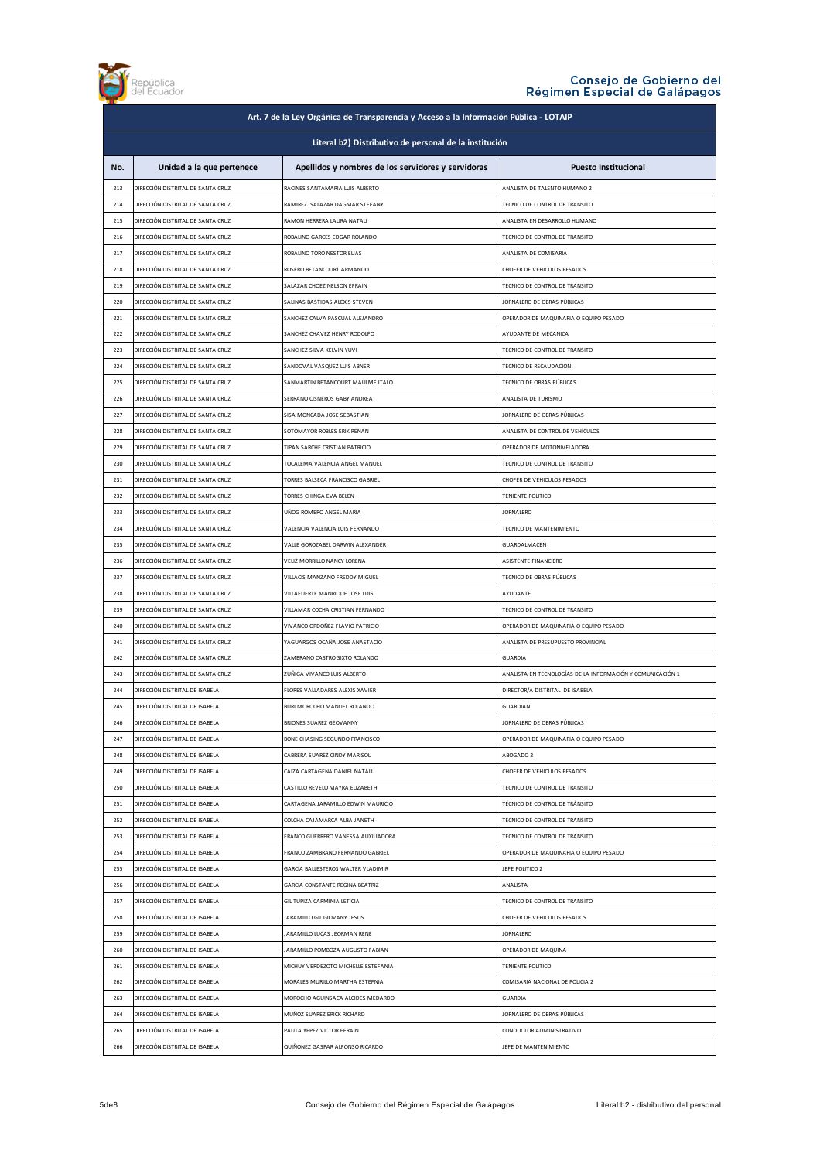

| Art. 7 de la Ley Orgánica de Transparencia y Acceso a la Información Pública - LOTAIP |                                                                        |                                                             |                                                                       |
|---------------------------------------------------------------------------------------|------------------------------------------------------------------------|-------------------------------------------------------------|-----------------------------------------------------------------------|
| Literal b2) Distributivo de personal de la institución                                |                                                                        |                                                             |                                                                       |
| No.                                                                                   | Unidad a la que pertenece                                              | Apellidos y nombres de los servidores y servidoras          | <b>Puesto Institucional</b>                                           |
| 213                                                                                   | DIRECCIÓN DISTRITAL DE SANTA CRUZ                                      | RACINES SANTAMARIA LUIS ALBERTO                             | ANALISTA DE TALENTO HUMANO 2                                          |
| 214                                                                                   | DIRECCIÓN DISTRITAL DE SANTA CRUZ                                      | RAMIREZ SALAZAR DAGMAR STEFANY                              | TECNICO DE CONTROL DE TRANSITO                                        |
| 215                                                                                   | DIRECCIÓN DISTRITAL DE SANTA CRUZ                                      | RAMON HERRERA LAURA NATALI                                  | ANALISTA EN DESARROLLO HUMANO                                         |
| 216                                                                                   | DIRECCIÓN DISTRITAL DE SANTA CRUZ                                      | ROBALINO GARCES EDGAR ROLANDO                               | TECNICO DE CONTROL DE TRANSITO                                        |
| 217                                                                                   | DIRECCIÓN DISTRITAL DE SANTA CRUZ                                      | ROBALINO TORO NESTOR ELIAS                                  | ANALISTA DE COMISARIA                                                 |
| 218                                                                                   | DIRECCIÓN DISTRITAL DE SANTA CRUZ                                      | ROSERO BETANCOURT ARMANDO                                   | CHOFER DE VEHICULOS PESADOS                                           |
| 219                                                                                   | DIRECCIÓN DISTRITAL DE SANTA CRUZ                                      | SALAZAR CHOEZ NELSON EFRAIN                                 | TECNICO DE CONTROL DE TRANSITO                                        |
|                                                                                       |                                                                        | SALINAS BASTIDAS ALEXIS STEVEN                              |                                                                       |
| 220<br>221                                                                            | DIRECCIÓN DISTRITAL DE SANTA CRUZ<br>DIRECCIÓN DISTRITAL DE SANTA CRUZ | SANCHEZ CALVA PASCUAL ALEJANDRO                             | JORNALERO DE OBRAS PÚBLICAS<br>OPERADOR DE MAQUINARIA O EQUIPO PESADO |
| 222                                                                                   | DIRECCIÓN DISTRITAL DE SANTA CRUZ                                      | SANCHEZ CHAVEZ HENRY RODOLFO                                | AYUDANTE DE MECANICA                                                  |
|                                                                                       |                                                                        |                                                             |                                                                       |
| 223                                                                                   | DIRECCIÓN DISTRITAL DE SANTA CRUZ                                      | SANCHEZ SILVA KELVIN YUVI                                   | TECNICO DE CONTROL DE TRANSITO                                        |
| 224                                                                                   | DIRECCIÓN DISTRITAL DE SANTA CRUZ                                      | SANDOVAL VASQUEZ LUIS ABNER                                 | TECNICO DE RECAUDACION                                                |
| 225                                                                                   | DIRECCIÓN DISTRITAL DE SANTA CRUZ                                      | SANMARTIN BETANCOURT MAULME ITALO                           | TECNICO DE OBRAS PÚBLICAS                                             |
| 226                                                                                   | DIRECCIÓN DISTRITAL DE SANTA CRUZ                                      | SERRANO CISNEROS GABY ANDREA                                | ANALISTA DE TURISMO                                                   |
| 227                                                                                   | DIRECCIÓN DISTRITAL DE SANTA CRUZ                                      | SISA MONCADA JOSE SEBASTIAN                                 | JORNALERO DE OBRAS PÚBLICAS                                           |
| 228                                                                                   | DIRECCIÓN DISTRITAL DE SANTA CRUZ                                      | SOTOMAYOR ROBLES ERIK RENAN                                 | ANALISTA DE CONTROL DE VEHÍCULOS                                      |
| 229                                                                                   | DIRECCIÓN DISTRITAL DE SANTA CRUZ                                      | TIPAN SARCHE CRISTIAN PATRICIO                              | OPERADOR DE MOTONIVELADORA                                            |
| 230                                                                                   | DIRECCIÓN DISTRITAL DE SANTA CRUZ                                      | TOCALEMA VALENCIA ANGEL MANUEL                              | TECNICO DE CONTROL DE TRANSITO                                        |
| 231                                                                                   | DIRECCIÓN DISTRITAL DE SANTA CRUZ                                      | TORRES BALSECA FRANCISCO GABRIEL                            | CHOFER DE VEHICULOS PESADOS                                           |
| 232                                                                                   | DIRECCIÓN DISTRITAL DE SANTA CRUZ                                      | TORRES CHINGA EVA BELEN                                     | TENIENTE POLITICO                                                     |
| 233                                                                                   | DIRECCIÓN DISTRITAL DE SANTA CRUZ                                      | UÑOG ROMERO ANGEL MARIA                                     | <b>JORNALERO</b>                                                      |
| 234                                                                                   | DIRECCIÓN DISTRITAL DE SANTA CRUZ                                      | VALENCIA VALENCIA LUIS FERNANDO                             | TECNICO DE MANTENIMIENTO                                              |
| 235                                                                                   | DIRECCIÓN DISTRITAL DE SANTA CRUZ                                      | VALLE GOROZABEL DARWIN ALEXANDER                            | GUARDALMACEN                                                          |
| 236                                                                                   | DIRECCIÓN DISTRITAL DE SANTA CRUZ                                      | VELIZ MORRILLO NANCY LORENA                                 | ASISTENTE FINANCIERO                                                  |
| 237                                                                                   | DIRECCIÓN DISTRITAL DE SANTA CRUZ                                      | VILLACIS MANZANO FREDDY MIGUEL                              | TECNICO DE OBRAS PÚBLICAS                                             |
| 238                                                                                   | DIRECCIÓN DISTRITAL DE SANTA CRUZ                                      | VILLAFUERTE MANRIQUE JOSE LUIS                              | AYUDANTE                                                              |
| 239                                                                                   | DIRECCIÓN DISTRITAL DE SANTA CRUZ                                      | VILLAMAR COCHA CRISTIAN FERNANDO                            | TECNICO DE CONTROL DE TRANSITO                                        |
| 240                                                                                   | DIRECCIÓN DISTRITAL DE SANTA CRUZ                                      | VIVANCO ORDOÑEZ FLAVIO PATRICIO                             | OPERADOR DE MAQUINARIA O EQUIPO PESADO                                |
| 241                                                                                   | DIRECCIÓN DISTRITAL DE SANTA CRUZ                                      | YAGUARGOS OCAÑA JOSE ANASTACIO                              | ANALISTA DE PRESUPUESTO PROVINCIAL                                    |
| 242                                                                                   | DIRECCIÓN DISTRITAL DE SANTA CRUZ                                      | ZAMBRANO CASTRO SIXTO ROLANDO                               | <b>GUARDIA</b>                                                        |
| 243                                                                                   | DIRECCIÓN DISTRITAL DE SANTA CRUZ                                      | ZUÑIGA VIVANCO LUIS ALBERTO                                 | ANALISTA EN TECNOLOGÍAS DE LA INFORMACIÓN Y COMUNICACIÓN 1            |
| 244                                                                                   | DIRECCIÓN DISTRITAL DE ISABELA                                         | FLORES VALLADARES ALEXIS XAVIER                             | DIRECTOR/A DISTRITAL DE ISABELA                                       |
| 245                                                                                   | DIRECCIÓN DISTRITAL DE ISABELA                                         | BURI MOROCHO MANUEL ROLANDO                                 | <b>GUARDIAN</b>                                                       |
| 246                                                                                   | DIRECCIÓN DISTRITAL DE ISABELA                                         | BRIONES SUAREZ GEOVANNY                                     | JORNALERO DE OBRAS PÚBLICAS                                           |
| 247                                                                                   | DIRECCIÓN DISTRITAL DE ISABELA                                         | BONE CHASING SEGUNDO FRANCISCO                              | OPERADOR DE MAQUINARIA O EQUIPO PESADO                                |
| 248                                                                                   | DIRECCIÓN DISTRITAL DE ISABELA                                         | CABRERA SUAREZ CINDY MARISOL                                | ABOGADO 2                                                             |
| 249                                                                                   | DIRECCIÓN DISTRITAL DE ISABELA                                         | CAIZA CARTAGENA DANIEL NATALI                               | CHOFER DE VEHICULOS PESADOS                                           |
| 250                                                                                   | DIRECCIÓN DISTRITAL DE ISABELA                                         | CASTILLO REVELO MAYRA ELIZABETH                             | TECNICO DE CONTROL DE TRANSITO                                        |
| 251                                                                                   | DIRECCIÓN DISTRITAL DE ISABELA                                         | CARTAGENA JARAMILLO EDWIN MAURICIO                          | TÉCNICO DE CONTROL DE TRÁNSITO                                        |
| 252                                                                                   | DIRECCIÓN DISTRITAL DE ISABELA                                         | COLCHA CAJAMARCA ALBA JANETH                                | TECNICO DE CONTROL DE TRANSITO                                        |
| 253                                                                                   | DIRECCIÓN DISTRITAL DE ISABELA                                         | FRANCO GUERRERO VANESSA AUXILIADORA                         | TECNICO DE CONTROL DE TRANSITO                                        |
| 254                                                                                   | DIRECCIÓN DISTRITAL DE ISABELA                                         | FRANCO ZAMBRANO FERNANDO GABRIEL                            | OPERADOR DE MAQUINARIA O EQUIPO PESADO                                |
| 255                                                                                   | DIRECCIÓN DISTRITAL DE ISABELA                                         | GARCÍA BALLESTEROS WALTER VLADIMIR                          | JEFE POLITICO 2                                                       |
| 256                                                                                   | DIRECCIÓN DISTRITAL DE ISABELA                                         | GARCIA CONSTANTE REGINA BEATRIZ                             | ANALISTA                                                              |
| 257                                                                                   | DIRECCIÓN DISTRITAL DE ISABELA                                         | GIL TUPIZA CARMINIA LETICIA                                 | TECNICO DE CONTROL DE TRANSITO                                        |
|                                                                                       |                                                                        |                                                             |                                                                       |
| 258<br>259                                                                            | DIRECCIÓN DISTRITAL DE ISABELA<br>DIRECCIÓN DISTRITAL DE ISABELA       | JARAMILLO GIL GIOVANY JESUS<br>JARAMILLO LUCAS JEORMAN RENE | CHOFER DE VEHICULOS PESADOS<br><b>JORNALERO</b>                       |
|                                                                                       |                                                                        |                                                             |                                                                       |
| 260                                                                                   | DIRECCIÓN DISTRITAL DE ISABELA                                         | JARAMILLO POMBOZA AUGUSTO FABIAN                            | OPERADOR DE MAQUINA                                                   |
| 261                                                                                   | DIRECCIÓN DISTRITAL DE ISABELA                                         | MICHUY VERDEZOTO MICHELLE ESTEFANIA                         | TENIENTE POLITICO                                                     |
| 262                                                                                   | DIRECCIÓN DISTRITAL DE ISABELA                                         | MORALES MURILLO MARTHA ESTEFNIA                             | COMISARIA NACIONAL DE POLICIA 2                                       |
| 263                                                                                   | DIRECCIÓN DISTRITAL DE ISABELA                                         | MOROCHO AGUINSACA ALCIDES MEDARDO                           | <b>GUARDIA</b>                                                        |
| 264                                                                                   | DIRECCIÓN DISTRITAL DE ISABELA                                         | MUÑOZ SUAREZ ERICK RICHARD                                  | JORNALERO DE OBRAS PÚBLICAS                                           |
| 265                                                                                   | DIRECCIÓN DISTRITAL DE ISABELA                                         | PAUTA YEPEZ VICTOR EFRAIN                                   | CONDUCTOR ADMINISTRATIVO                                              |
| 266                                                                                   | DIRECCIÓN DISTRITAL DE ISABELA                                         | QUIÑONEZ GASPAR ALFONSO RICARDO                             | JEFE DE MANTENIMIENTO                                                 |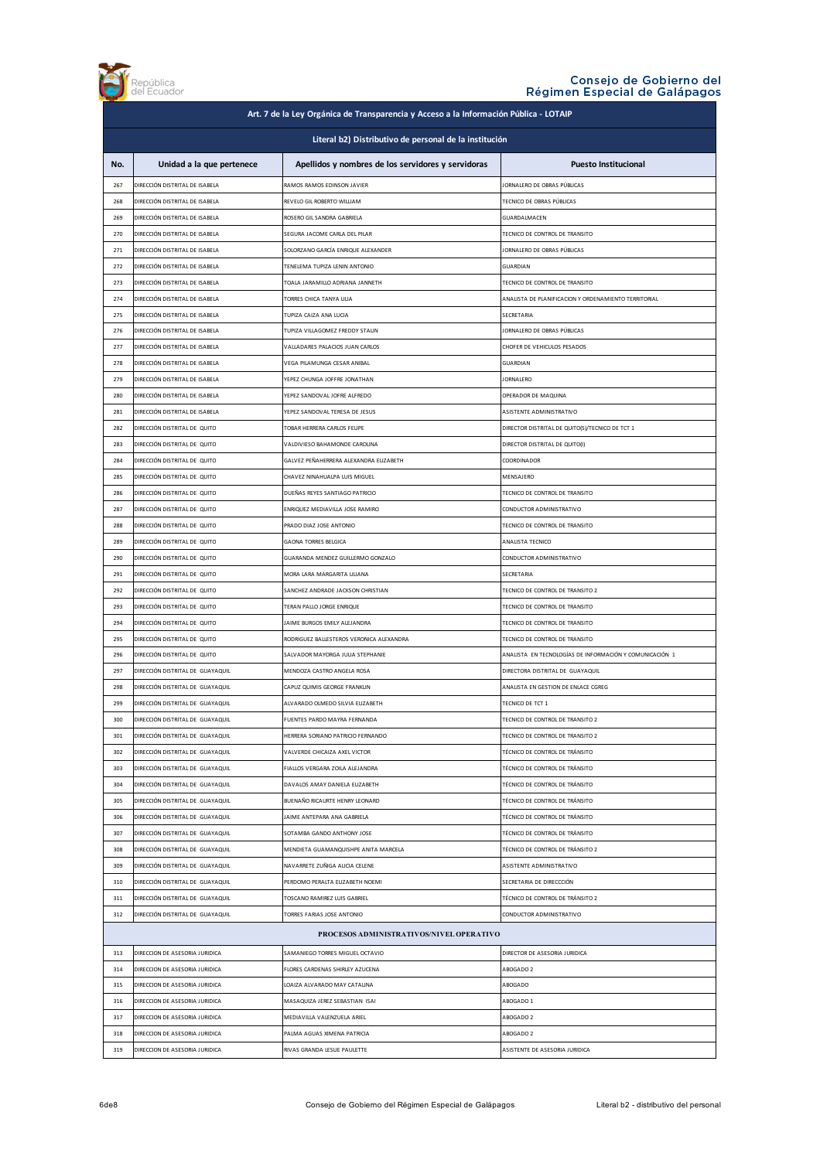

| Art. 7 de la Ley Orgánica de Transparencia y Acceso a la Información Pública - LOTAIP |                                          |                                                    |                                                         |
|---------------------------------------------------------------------------------------|------------------------------------------|----------------------------------------------------|---------------------------------------------------------|
| Literal b2) Distributivo de personal de la institución                                |                                          |                                                    |                                                         |
|                                                                                       |                                          |                                                    |                                                         |
| No.                                                                                   | Unidad a la que pertenece                | Apellidos y nombres de los servidores y servidoras | <b>Puesto Institucional</b>                             |
| 267                                                                                   | DIRECCIÓN DISTRITAL DE ISABELA           | RAMOS RAMOS EDINSON JAVIER                         | IORNALERO DE OBRAS PÚBLICAS                             |
| 268                                                                                   | DIRECCIÓN DISTRITAL DE ISABELA           | REVELO GIL ROBERTO WILLIAM                         | TECNICO DE OBRAS PÚBLICAS                               |
| 269                                                                                   | DIRECCIÓN DISTRITAL DE ISABELA           | ROSERO GIL SANDRA GABRIELA                         | GUARDALMACEN                                            |
| 270                                                                                   | DIRECCIÓN DISTRITAL DE ISABELA           | SEGURA JACOME CARLA DEL PILAR                      | TECNICO DE CONTROL DE TRANSITO                          |
| 271                                                                                   | DIRECCIÓN DISTRITAL DE ISABELA           | SOLORZANO GARCÍA ENRIQUE ALEXANDER                 | JORNALERO DE OBRAS PÚBLICAS                             |
| 272                                                                                   | DIRECCIÓN DISTRITAL DE ISABELA           | TENELEMA TUPIZA LENIN ANTONIO                      | GUARDIAN                                                |
| 273                                                                                   | DIRECCIÓN DISTRITAL DE ISABELA           | TOALA JARAMILLO ADRIANA JANNETH                    | TECNICO DE CONTROL DE TRANSITO                          |
| 274                                                                                   | DIRECCIÓN DISTRITAL DE ISABELA           | TORRES CHICA TANYA LILIA                           | ANALISTA DE PLANIFICACION Y ORDENAMIENTO TERRITORIAL    |
| 275                                                                                   | DIRECCIÓN DISTRITAL DE ISABELA           | TUPIZA CAIZA ANA LUCIA                             | SECRETARIA                                              |
| 276                                                                                   | DIRECCIÓN DISTRITAL DE ISABELA           | TUPIZA VILLAGOMEZ FREDDY STALIN                    | IORNALERO DE OBRAS PÚBLICAS                             |
| 277                                                                                   | DIRECCIÓN DISTRITAL DE ISABELA           | VALLADARES PALACIOS JUAN CARLOS                    | CHOFER DE VEHICULOS PESADOS                             |
| 278                                                                                   | DIRECCIÓN DISTRITAL DE ISABELA           | VEGA PILAMUNGA CESAR ANIBAL                        | GUARDIAN                                                |
| 279                                                                                   | DIRECCIÓN DISTRITAL DE ISABELA           | <b>FPEZ CHUNGA IOFFRE IONATHAN</b>                 | <b>IORNALERO</b>                                        |
| 280                                                                                   | DIRECCIÓN DISTRITAL DE ISABELA           | YEPEZ SANDOVAL JOFRE ALFREDO                       | OPERADOR DE MAQUINA                                     |
| 281                                                                                   | DIRECCIÓN DISTRITAL DE ISABELA           | YEPEZ SANDOVAL TERESA DE JESUS                     | ASISTENTE ADMINISTRATIVO                                |
| 282                                                                                   | DIRECCIÓN DISTRITAL DE QUITO             | <b>TOBAR HERRERA CARLOS FELIPE</b>                 | DIRECTOR DISTRITAL DE QUITO(S)/TECNICO DE TCT 1         |
| 283                                                                                   | DIRECCIÓN DISTRITAL DE QUITO             | VALDIVIESO BAHAMONDE CAROLINA                      | DIRECTOR DISTRITAL DE QUITO(I)                          |
| 284                                                                                   | DIRECCIÓN DISTRITAL DE QUITO             | GALVEZ PEÑAHERRERA ALEXANDRA ELIZABETH             | COORDINADOR                                             |
| 285                                                                                   | DIRECCIÓN DISTRITAL DE QUITO             | CHAVEZ NINAHUALPA LUIS MIGUEL                      | MENSAJERO                                               |
| 286                                                                                   | DIRECCIÓN DISTRITAL DE QUITO             | DUEÑAS REYES SANTIAGO PATRICIO                     | TECNICO DE CONTROL DE TRANSITO                          |
| 287                                                                                   | DIRECCIÓN DISTRITAL DE QUITO             | ENRIQUEZ MEDIAVILLA JOSE RAMIRO                    | CONDUCTOR ADMINISTRATIVO                                |
| 288                                                                                   | DIRECCIÓN DISTRITAL DE QUITO             | PRADO DIAZ JOSE ANTONIO                            | TECNICO DE CONTROL DE TRANSITO                          |
| 289                                                                                   | DIRECCIÓN DISTRITAL DE QUITO             | <b>GAONA TORRES BELGICA</b>                        | ANALISTA TECNICO                                        |
| 290                                                                                   | DIRECCIÓN DISTRITAL DE QUITO             | GUARANDA MENDEZ GUILLERMO GONZALO                  | CONDUCTOR ADMINISTRATIVO                                |
| 291                                                                                   | DIRECCIÓN DISTRITAL DE QUITO             | MORA LARA MARGARITA LILIANA                        | SECRETARIA                                              |
| 292                                                                                   | DIRECCIÓN DISTRITAL DE QUITO             | SANCHEZ ANDRADE JACKSON CHRISTIAN                  | TECNICO DE CONTROL DE TRANSITO 2                        |
| 293                                                                                   | DIRECCIÓN DISTRITAL DE QUITO             | TERAN PALLO JORGE ENRIQUE                          | TECNICO DE CONTROL DE TRANSITO                          |
| 294                                                                                   | DIRECCIÓN DISTRITAL DE QUITO             | JAIME BURGOS EMILY ALEJANDRA                       | TECNICO DE CONTROL DE TRANSITO                          |
| 295                                                                                   | DIRECCIÓN DISTRITAL DE QUITO             | RODRIGUEZ BALLESTEROS VERONICA ALEXANDRA           | TECNICO DE CONTROL DE TRANSITO                          |
| 296                                                                                   | DIRECCIÓN DISTRITAL DE QUITO             | SALVADOR MAYORGA JULIA STEPHANIE                   | ANALISTA EN TECNOLOGÍAS DE INFORMACIÓN Y COMUNICACIÓN 1 |
| 297                                                                                   | DIRECCIÓN DISTRITAL DE GUAYAQUIL         | MENDOZA CASTRO ANGELA ROSA                         | DIRECTORA DISTRITAL DE GUAYAQUIL                        |
| 298                                                                                   | DIRECCIÓN DISTRITAL DE GUAYAQUIL         | CAPUZ QUIMIS GEORGE FRANKLIN                       | ANALISTA EN GESTION DE ENLACE CGREG                     |
| 299                                                                                   | DIRECCIÓN DISTRITAL DE GUAYAQUIL         | ALVARADO OLMEDO SILVIA ELIZABETH                   | TECNICO DE TCT 1                                        |
| 300                                                                                   | DIRECCIÓN DISTRITAL DE GUAYAQUIL         | FUENTES PARDO MAYRA FERNANDA                       | TECNICO DE CONTROL DE TRANSITO 2                        |
| 301                                                                                   | DIRECCIÓN DISTRITAL DE GUAYAQUIL         | HERRERA SORIANO PATRICIO FERNANDO                  | TECNICO DE CONTROL DE TRANSITO 2                        |
| 302                                                                                   | DIRECCIÓN DISTRITAL DE GUAYAQUIL         | VALVERDE CHICAIZA AXEL VICTOR                      | TÉCNICO DE CONTROL DE TRÁNSITO                          |
| 303                                                                                   | DIRECCIÓN DISTRITAL DE GUAYAQUIL         | FIALLOS VERGARA ZOILA ALEJANDRA                    | TÉCNICO DE CONTROL DE TRÁNSITO                          |
| 304                                                                                   | DIRECCIÓN DISTRITAL DE GUAYAQUIL         | DAVALOS AMAY DANIELA ELIZABETH                     | TÉCNICO DE CONTROL DE TRÁNSITO                          |
| 305                                                                                   | DIRECCIÓN DISTRITAL DE GUAYAQUIL         | BUENAÑO RICAURTE HENRY LEONARD                     | TÉCNICO DE CONTROL DE TRÁNSITO                          |
| 306                                                                                   | DIRECCIÓN DISTRITAL DE GUAYAQUIL         | JAIME ANTEPARA ANA GABRIELA                        | TÉCNICO DE CONTROL DE TRÁNSITO                          |
| 307                                                                                   | DIRECCIÓN DISTRITAL DE GUAYAQUIL         | SOTAMBA GANDO ANTHONY JOSE                         | TÉCNICO DE CONTROL DE TRÁNSITO                          |
| 308                                                                                   | DIRECCIÓN DISTRITAL DE GUAYAQUIL         | MENDIETA GUAMANQUISHPE ANITA MARCELA               | TÉCNICO DE CONTROL DE TRÁNSITO 2                        |
| 309                                                                                   | DIRECCIÓN DISTRITAL DE GUAYAQUIL         | NAVARRETE ZUÑIGA ALICIA CELENE                     | ASISTENTE ADMINISTRATIVO                                |
| 310                                                                                   | DIRECCIÓN DISTRITAL DE GUAYAQUIL         | PERDOMO PERALTA ELIZABETH NOEMI                    | SECRETARIA DE DIRECCCIÓN                                |
| 311                                                                                   | DIRECCIÓN DISTRITAL DE GUAYAQUIL         | TOSCANO RAMIREZ LUIS GABRIEL                       | TÉCNICO DE CONTROL DE TRÁNSITO 2                        |
| 312                                                                                   | DIRECCIÓN DISTRITAL DE GUAYAQUIL         | TORRES FARIAS JOSE ANTONIO                         | CONDUCTOR ADMINISTRATIVO                                |
|                                                                                       | PROCESOS ADMINISTRATIVOS/NIVEL OPERATIVO |                                                    |                                                         |
| 313                                                                                   | DIRECCION DE ASESORIA JURIDICA           | SAMANIEGO TORRES MIGUEL OCTAVIO                    | DIRECTOR DE ASESORIA JURIDICA                           |
| 314                                                                                   | DIRECCION DE ASESORIA JURIDICA           | FLORES CARDENAS SHIRLEY AZUCENA                    | ABOGADO 2                                               |
| 315                                                                                   | DIRECCION DE ASESORIA JURIDICA           | LOAIZA ALVARADO MAY CATALINA                       | ABOGADO                                                 |
| 316                                                                                   | DIRECCION DE ASESORIA JURIDICA           | MASAQUIZA JEREZ SEBASTIAN ISAI                     | ABOGADO 1                                               |
| 317                                                                                   | DIRECCION DE ASESORIA JURIDICA           | MEDIAVILLA VALENZUELA ARIEL                        | ABOGADO 2                                               |
| 318                                                                                   | DIRECCION DE ASESORIA JURIDICA           | PALMA AGUAS XIMENA PATRICIA                        | ABOGADO 2                                               |
| 319                                                                                   | DIRECCION DE ASESORIA JURIDICA           | RIVAS GRANDA LESLIE PAULETTE                       | ASISTENTE DE ASESORIA JURIDICA                          |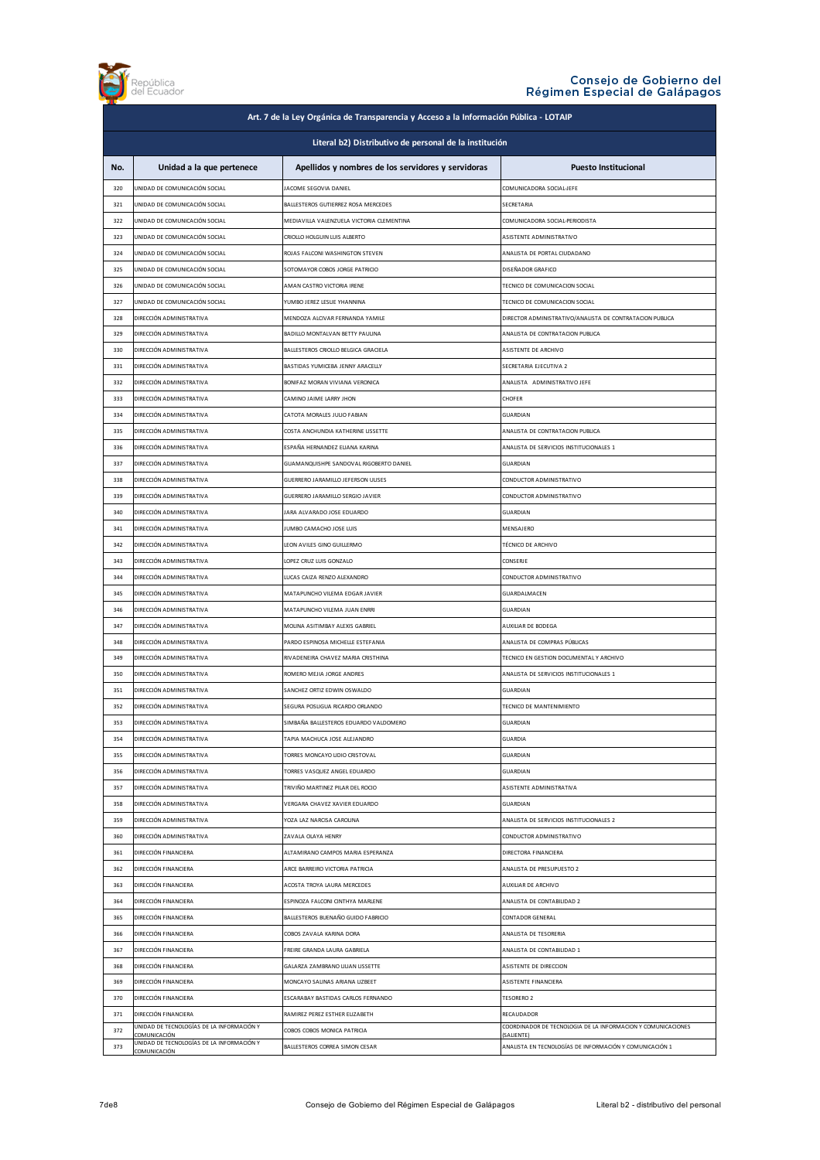

|                                                        | Art. 7 de la Ley Orgánica de Transparencia y Acceso a la Información Pública - LOTAIP |                                                                    |                                                                            |  |
|--------------------------------------------------------|---------------------------------------------------------------------------------------|--------------------------------------------------------------------|----------------------------------------------------------------------------|--|
| Literal b2) Distributivo de personal de la institución |                                                                                       |                                                                    |                                                                            |  |
| No.                                                    | Unidad a la que pertenece                                                             | Apellidos y nombres de los servidores y servidoras                 | <b>Puesto Institucional</b>                                                |  |
| 320                                                    | UNIDAD DE COMUNICACIÓN SOCIAL                                                         | JACOME SEGOVIA DANIEL                                              | COMUNICADORA SOCIAL-JEFE                                                   |  |
| 321                                                    | UNIDAD DE COMUNICACIÓN SOCIAL                                                         | BALLESTEROS GUTIERREZ ROSA MERCEDES                                | SECRETARIA                                                                 |  |
| 322                                                    | UNIDAD DE COMUNICACIÓN SOCIAL                                                         | MEDIAVILLA VALENZUELA VICTORIA CLEMENTINA                          | COMUNICADORA SOCIAL-PERIODISTA                                             |  |
| 323                                                    | UNIDAD DE COMUNICACIÓN SOCIAL                                                         | CRIOLLO HOLGUIN LUIS ALBERTO                                       | ASISTENTE ADMINISTRATIVO                                                   |  |
| 324                                                    | UNIDAD DE COMUNICACIÓN SOCIAL                                                         | ROJAS FALCONI WASHINGTON STEVEN                                    | ANALISTA DE PORTAL CIUDADANO                                               |  |
| 325                                                    | UNIDAD DE COMUNICACIÓN SOCIAL                                                         | SOTOMAYOR COBOS JORGE PATRICIO                                     | DISEÑADOR GRAFICO                                                          |  |
| 326                                                    | UNIDAD DE COMUNICACIÓN SOCIAL                                                         | AMAN CASTRO VICTORIA IRENE                                         | TECNICO DE COMUNICACION SOCIAL                                             |  |
| 327                                                    | UNIDAD DE COMUNICACIÓN SOCIAL                                                         | YUMBO JEREZ LESLIE YHANNINA                                        | TECNICO DE COMUNICACION SOCIAL                                             |  |
| 328                                                    | DIRECCIÓN ADMINISTRATIVA                                                              | MENDOZA ALCIVAR FERNANDA YAMILE                                    | DIRECTOR ADMINISTRATIVO/ANALISTA DE CONTRATACION PUBLICA                   |  |
| 329                                                    | DIRECCIÓN ADMINISTRATIVA                                                              | BADILLO MONTALVAN BETTY PAULINA                                    | ANALISTA DE CONTRATACION PUBLICA                                           |  |
| 330                                                    | DIRECCIÓN ADMINISTRATIVA                                                              | BALLESTEROS CRIOLLO BELGICA GRACIELA                               | ASISTENTE DE ARCHIVO                                                       |  |
| 331                                                    | DIRECCIÓN ADMINISTRATIVA                                                              | BASTIDAS YUMICEBA JENNY ARACELLY                                   | SECRETARIA EJECUTIVA 2                                                     |  |
| 332                                                    | DIRECCIÓN ADMINISTRATIVA                                                              | BONIFAZ MORAN VIVIANA VERONICA                                     | ANALISTA ADMINISTRATIVO JEFE                                               |  |
| 333                                                    | DIRECCIÓN ADMINISTRATIVA                                                              | CAMINO JAIME LARRY JHON                                            | CHOFER                                                                     |  |
| 334                                                    | DIRECCIÓN ADMINISTRATIVA                                                              | CATOTA MORALES JULIO FABIAN                                        | <b>GUARDIAN</b>                                                            |  |
| 335                                                    | DIRECCIÓN ADMINISTRATIVA                                                              | COSTA ANCHUNDIA KATHERINE LISSETTE                                 | ANALISTA DE CONTRATACION PUBLICA                                           |  |
| 336                                                    | DIRECCIÓN ADMINISTRATIVA                                                              | ESPAÑA HERNANDEZ ELIANA KARINA                                     | ANALISTA DE SERVICIOS INSTITUCIONALES 1                                    |  |
| 337                                                    | DIRECCIÓN ADMINISTRATIVA                                                              | GUAMANQUISHPE SANDOVAL RIGOBERTO DANIEL                            | <b>GUARDIAN</b>                                                            |  |
| 338                                                    | DIRECCIÓN ADMINISTRATIVA                                                              | GUERRERO JARAMILLO JEFERSON ULISES                                 | CONDUCTOR ADMINISTRATIVO                                                   |  |
| 339                                                    | DIRECCIÓN ADMINISTRATIVA                                                              | GUERRERO JARAMILLO SERGIO JAVIER                                   | CONDUCTOR ADMINISTRATIVO                                                   |  |
| 340                                                    | DIRECCIÓN ADMINISTRATIVA                                                              | JARA ALVARADO JOSE EDUARDO                                         | <b>GUARDIAN</b>                                                            |  |
| 341                                                    | DIRECCIÓN ADMINISTRATIVA                                                              | JUMBO CAMACHO JOSE LUIS                                            | MENSAJERO                                                                  |  |
| 342                                                    | DIRECCIÓN ADMINISTRATIVA                                                              | LEON AVILES GINO GUILLERMO                                         | TÉCNICO DE ARCHIVO                                                         |  |
| 343                                                    | DIRECCIÓN ADMINISTRATIVA                                                              | LOPEZ CRUZ LUIS GONZALO                                            | <b>CONSERJE</b>                                                            |  |
| 344                                                    | DIRECCIÓN ADMINISTRATIVA                                                              | LUCAS CAIZA RENZO ALEXANDRO                                        | CONDUCTOR ADMINISTRATIVO                                                   |  |
| 345                                                    | DIRECCIÓN ADMINISTRATIVA                                                              | MATAPUNCHO VILEMA EDGAR JAVIER                                     | GUARDALMACEN                                                               |  |
| 346                                                    | DIRECCIÓN ADMINISTRATIVA                                                              | MATAPUNCHO VILEMA JUAN ENRRI                                       | <b>GUARDIAN</b>                                                            |  |
| 347                                                    | DIRECCIÓN ADMINISTRATIVA                                                              | MOLINA ASITIMBAY ALEXIS GABRIEL                                    | AUXILIAR DE BODEGA                                                         |  |
| 348                                                    | DIRECCIÓN ADMINISTRATIVA                                                              | PARDO ESPINOSA MICHELLE ESTEFANIA                                  | ANALISTA DE COMPRAS PÚBLICAS                                               |  |
| 349                                                    | DIRECCIÓN ADMINISTRATIVA                                                              | RIVADENEIRA CHAVEZ MARIA CRISTHINA                                 | TECNICO EN GESTION DOCUMENTAL Y ARCHIVO                                    |  |
| 350                                                    | DIRECCIÓN ADMINISTRATIVA                                                              | ROMERO MEJIA JORGE ANDRES                                          | ANALISTA DE SERVICIOS INSTITUCIONALES 1                                    |  |
| 351                                                    | DIRECCIÓN ADMINISTRATIVA                                                              | SANCHEZ ORTIZ EDWIN OSWALDO                                        | <b>GUARDIAN</b>                                                            |  |
| 352                                                    | DIRECCIÓN ADMINISTRATIVA                                                              | SEGURA POSLIGUA RICARDO ORLANDO                                    | TECNICO DE MANTENIMIENTO                                                   |  |
| 353                                                    | DIRECCIÓN ADMINISTRATIVA                                                              | SIMBAÑA BALLESTEROS EDUARDO VALDOMERO                              | <b>GUARDIAN</b>                                                            |  |
| 354                                                    | DIRECCIÓN ADMINISTRATIVA                                                              | TAPIA MACHUCA JOSE ALEJANDRO                                       | <b>GUARDIA</b>                                                             |  |
| 355                                                    | DIRECCIÓN ADMINISTRATIVA                                                              | TORRES MONCAYO LIDIO CRISTOVAL                                     | GUARDIAN                                                                   |  |
| 356                                                    | DIRECCIÓN ADMINISTRATIVA                                                              | TORRES VASQUEZ ANGEL EDUARDO                                       | <b>GUARDIAN</b>                                                            |  |
| 357                                                    | DIRECCIÓN ADMINISTRATIVA                                                              | TRIVIÑO MARTINEZ PILAR DEL ROCIO                                   | ASISTENTE ADMINISTRATIVA                                                   |  |
| 358                                                    | DIRECCIÓN ADMINISTRATIVA                                                              | VERGARA CHAVEZ XAVIER EDUARDO                                      | GUARDIAN                                                                   |  |
| 359                                                    | DIRECCIÓN ADMINISTRATIVA                                                              | YOZA LAZ NARCISA CAROLINA                                          | ANALISTA DE SERVICIOS INSTITUCIONALES 2                                    |  |
| 360                                                    | DIRECCIÓN ADMINISTRATIVA                                                              | ZAVALA OLAYA HENRY                                                 | CONDUCTOR ADMINISTRATIVO                                                   |  |
| 361                                                    | DIRECCIÓN FINANCIERA                                                                  | ALTAMIRANO CAMPOS MARIA ESPERANZA                                  | DIRECTORA FINANCIERA                                                       |  |
| 362                                                    | DIRECCIÓN FINANCIERA                                                                  | ARCE BARREIRO VICTORIA PATRICIA                                    | ANALISTA DE PRESUPUESTO 2                                                  |  |
| 363                                                    | DIRECCIÓN FINANCIERA                                                                  | ACOSTA TROYA LAURA MERCEDES                                        | AUXILIAR DE ARCHIVO                                                        |  |
| 364                                                    | DIRECCIÓN FINANCIERA                                                                  | ESPINOZA FALCONI CINTHYA MARLENE                                   | ANALISTA DE CONTABILIDAD 2                                                 |  |
| 365                                                    | DIRECCIÓN FINANCIERA                                                                  | BALLESTEROS BUENAÑO GUIDO FABRICIO                                 | CONTADOR GENERAL                                                           |  |
| 366                                                    | DIRECCIÓN FINANCIERA                                                                  | COBOS ZAVALA KARINA DORA                                           | ANALISTA DE TESORERIA                                                      |  |
| 367                                                    | DIRECCIÓN FINANCIERA                                                                  | FREIRE GRANDA LAURA GABRIELA                                       | ANALISTA DE CONTABILIDAD 1                                                 |  |
|                                                        |                                                                                       |                                                                    |                                                                            |  |
| 368<br>369                                             | DIRECCIÓN FINANCIERA<br>DIRECCIÓN FINANCIERA                                          | GALARZA ZAMBRANO LILIAN LISSETTE<br>MONCAYO SALINAS ARIANA LIZBEET | ASISTENTE DE DIRECCION<br>ASISTENTE FINANCIERA                             |  |
|                                                        |                                                                                       |                                                                    |                                                                            |  |
| 370                                                    | DIRECCIÓN FINANCIERA                                                                  | ESCARABAY BASTIDAS CARLOS FERNANDO                                 | <b>TESORERO 2</b>                                                          |  |
| 371                                                    | DIRECCIÓN FINANCIERA<br>UNIDAD DE TECNOLOGÍAS DE LA INFORMACIÓN Y                     | RAMIREZ PEREZ ESTHER ELIZABETH                                     | RECAUDADOR<br>COORDINADOR DE TECNOLOGIA DE LA INFORMACION Y COMUNICACIONES |  |
| 372                                                    | <u>COMUNICACIÓN</u><br>UNIDAD DE TECNOLOGÍAS DE LA INFORMACIÓN Y                      | COBOS COBOS MONICA PATRICIA                                        | (SALIENTE)                                                                 |  |
| 373                                                    | COMUNICACIÓN                                                                          | BALLESTEROS CORREA SIMON CESAR                                     | ANALISTA EN TECNOLOGÍAS DE INFORMACIÓN Y COMUNICACIÓN 1                    |  |